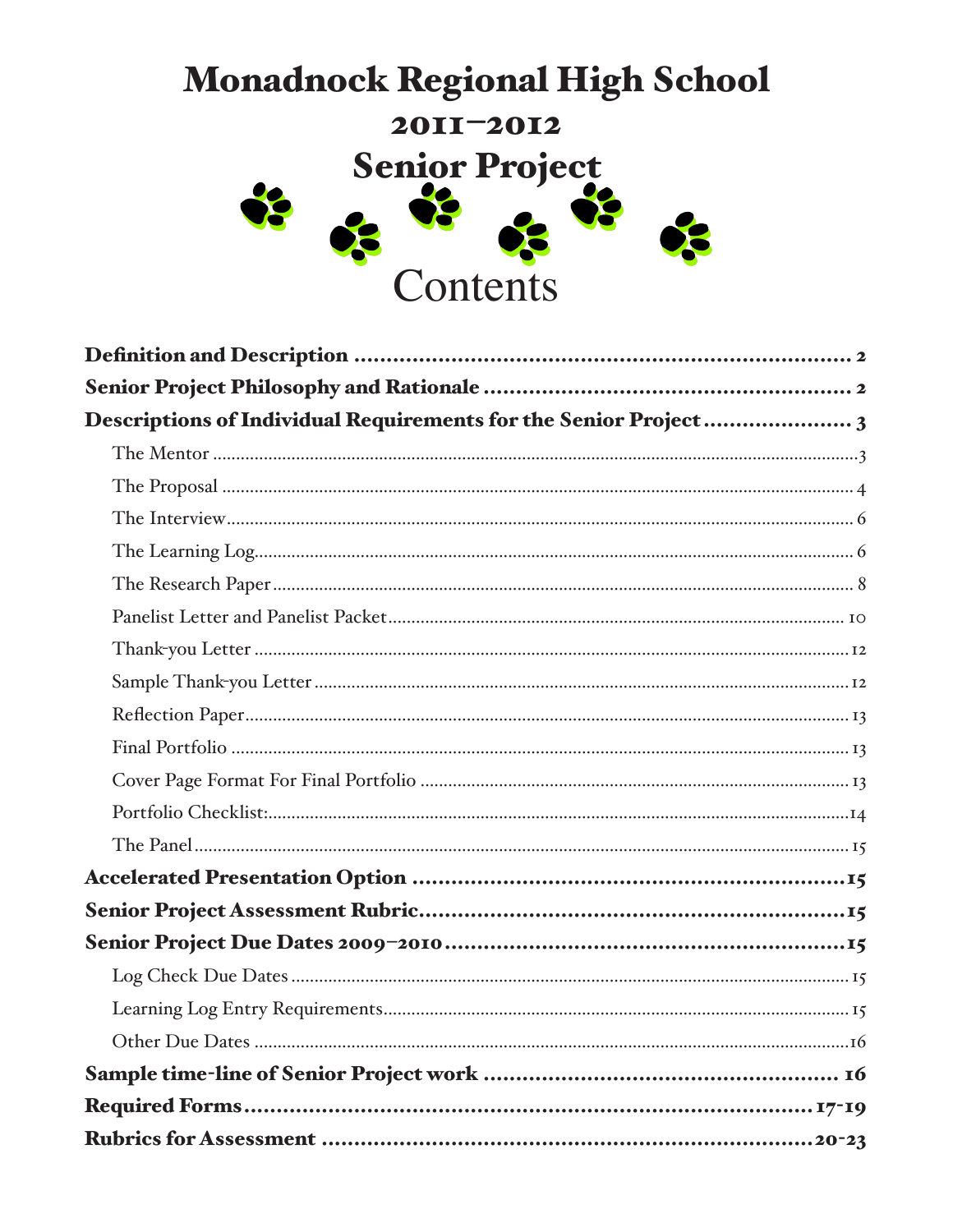# **Monadnock Regional High School** 2011-2012 Senior Project 8 8 Contents

| <b>Rubrics for Assessment </b> | $\ldots \ldots 20-22$ |
|--------------------------------|-----------------------|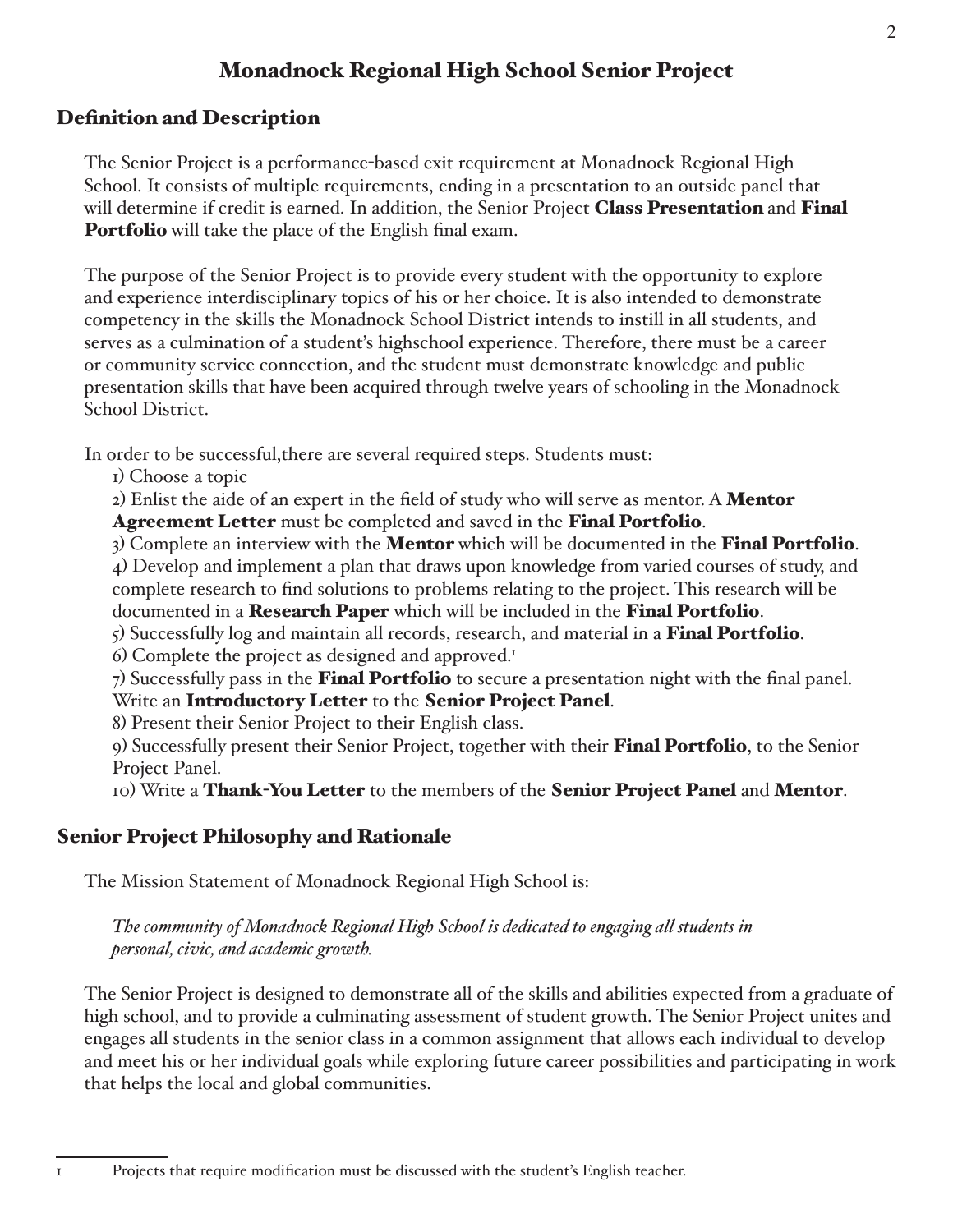# **Monadnock Regional High School Senior Project**

# **Definition and Description**

The Senior Project is a performance-based exit requirement at Monadnock Regional High School. It consists of multiple requirements, ending in a presentation to an outside panel that will determine if credit is earned. In addition, the Senior Project Class Presentation and Final **Portfolio** will take the place of the English final exam.

The purpose of the Senior Project is to provide every student with the opportunity to explore and experience interdisciplinary topics of his or her choice. It is also intended to demonstrate competency in the skills the Monadnock School District intends to instill in all students, and serves as a culmination of a student's highschool experience. Therefore, there must be a career or community service connection, and the student must demonstrate knowledge and public presentation skills that have been acquired through twelve years of schooling in the Monadnock School District.

In order to be successful, there are several required steps. Students must:

I) Choose a topic

 $\mathbf{I}$ 

2) Enlist the aide of an expert in the field of study who will serve as mentor. A Mentor Agreement Letter must be completed and saved in the Final Portfolio.

3) Complete an interview with the **Mentor** which will be documented in the **Final Portfolio**. 4) Develop and implement a plan that draws upon knowledge from varied courses of study, and complete research to find solutions to problems relating to the project. This research will be documented in a **Research Paper** which will be included in the **Final Portfolio**.

 $\zeta$ ) Successfully log and maintain all records, research, and material in a **Final Portfolio**.

6) Complete the project as designed and approved.<sup>1</sup>

7) Successfully pass in the Final Portfolio to secure a presentation night with the final panel. Write an Introductory Letter to the Senior Project Panel.

8) Present their Senior Project to their English class.

9) Successfully present their Senior Project, together with their Final Portfolio, to the Senior Project Panel.

10) Write a Thank-You Letter to the members of the Senior Project Panel and Mentor.

# **Senior Project Philosophy and Rationale**

The Mission Statement of Monadnock Regional High School is:

The community of Monadnock Regional High School is dedicated to engaging all students in personal, civic, and academic growth.

The Senior Project is designed to demonstrate all of the skills and abilities expected from a graduate of high school, and to provide a culminating assessment of student growth. The Senior Project unites and engages all students in the senior class in a common assignment that allows each individual to develop and meet his or her individual goals while exploring future career possibilities and participating in work that helps the local and global communities.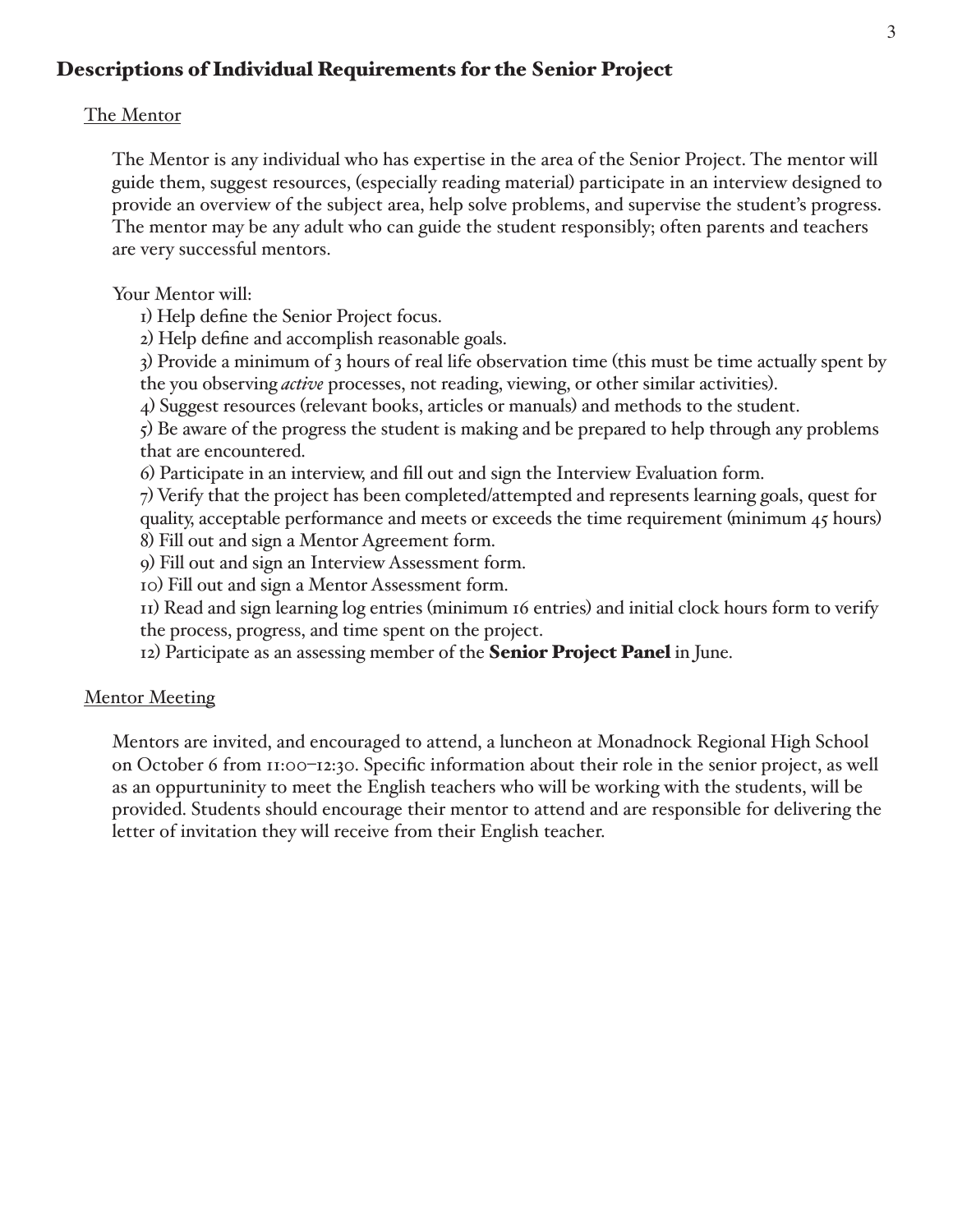# **Descriptions of Individual Requirements for the Senior Project**

# The Mentor

The Mentor is any individual who has expertise in the area of the Senior Project. The mentor will guide them, suggest resources, (especially reading material) participate in an interview designed to provide an overview of the subject area, help solve problems, and supervise the student's progress. The mentor may be any adult who can guide the student responsibly; often parents and teachers are very successful mentors.

Your Mentor will:

I) Help define the Senior Project focus.

2) Help define and accomplish reasonable goals.

3) Provide a minimum of 3 hours of real life observation time (this must be time actually spent by the you observing *active* processes, not reading, viewing, or other similar activities).

4) Suggest resources (relevant books, articles or manuals) and methods to the student.

 $\zeta$ ) Be aware of the progress the student is making and be prepared to help through any problems that are encountered.

6) Participate in an interview, and fill out and sign the Interview Evaluation form.

7) Verify that the project has been completed/attempted and represents learning goals, quest for quality, acceptable performance and meets or exceeds the time requirement (minimum  $45$  hours) 8) Fill out and sign a Mentor Agreement form.

9) Fill out and sign an Interview Assessment form.

IO) Fill out and sign a Mentor Assessment form.

II) Read and sign learning log entries (minimum 16 entries) and initial clock hours form to verify the process, progress, and time spent on the project.

12) Participate as an assessing member of the **Senior Project Panel** in June.

# **Mentor Meeting**

Mentors are invited, and encouraged to attend, a luncheon at Monadnock Regional High School on October 6 from 11:00-12:30. Specific information about their role in the senior project, as well as an oppurtuninity to meet the English teachers who will be working with the students, will be provided. Students should encourage their mentor to attend and are responsible for delivering the letter of invitation they will receive from their English teacher.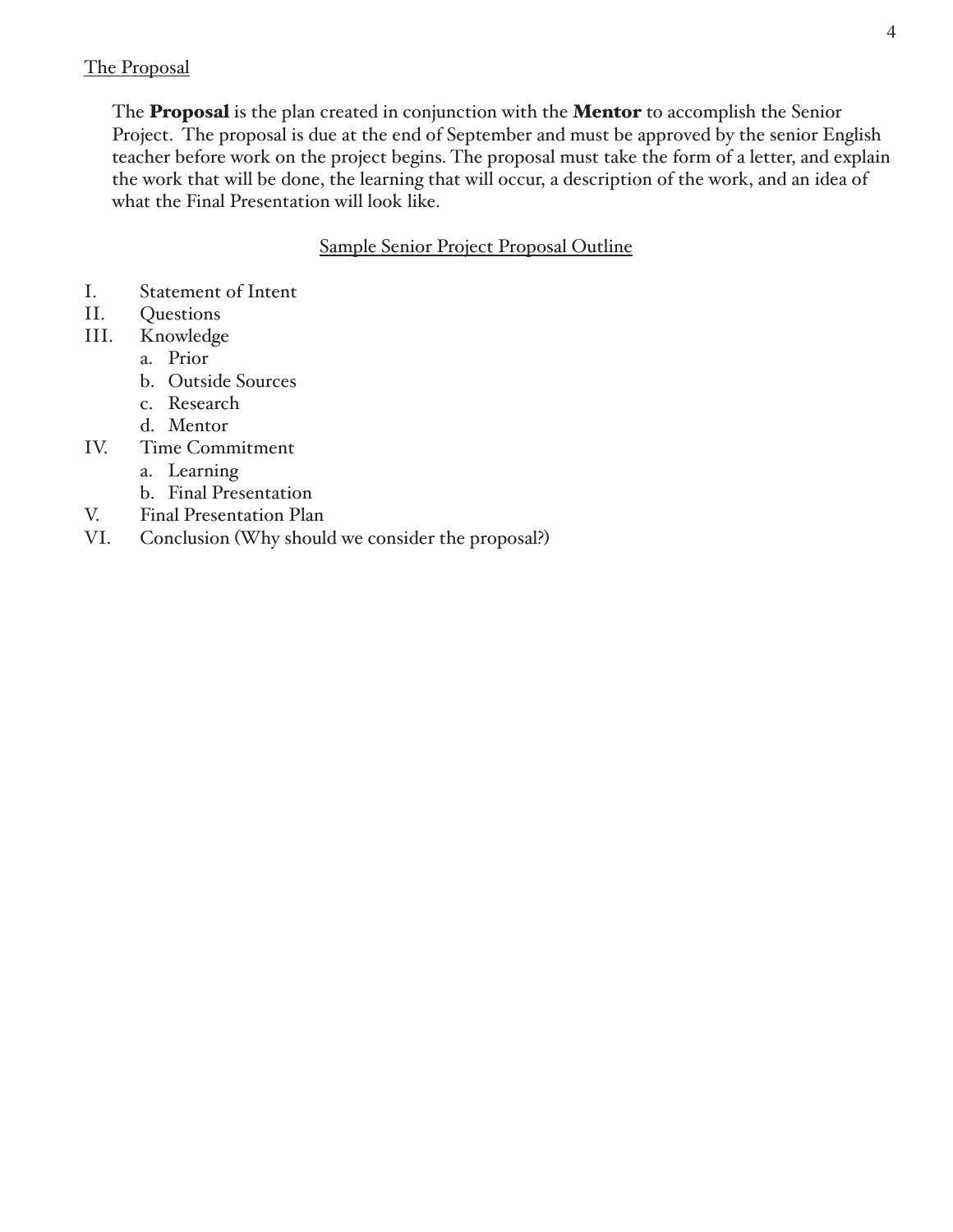#### The Proposal

The **Proposal** is the plan created in conjunction with the **Mentor** to accomplish the Senior Project. The proposal is due at the end of September and must be approved by the senior English teacher before work on the project begins. The proposal must take the form of a letter, and explain the work that will be done, the learning that will occur, a description of the work, and an idea of what the Final Presentation will look like.

**Sample Senior Project Proposal Outline** 

- I. **Statement of Intent**
- II. Questions
- $III.$ Knowledge
	- a. Prior
	- b. Outside Sources
	- c. Research
	- d. Mentor
- Time Commitment IV.
	- a. Learning
	- b. Final Presentation
- V. **Final Presentation Plan**
- VI. Conclusion (Why should we consider the proposal?)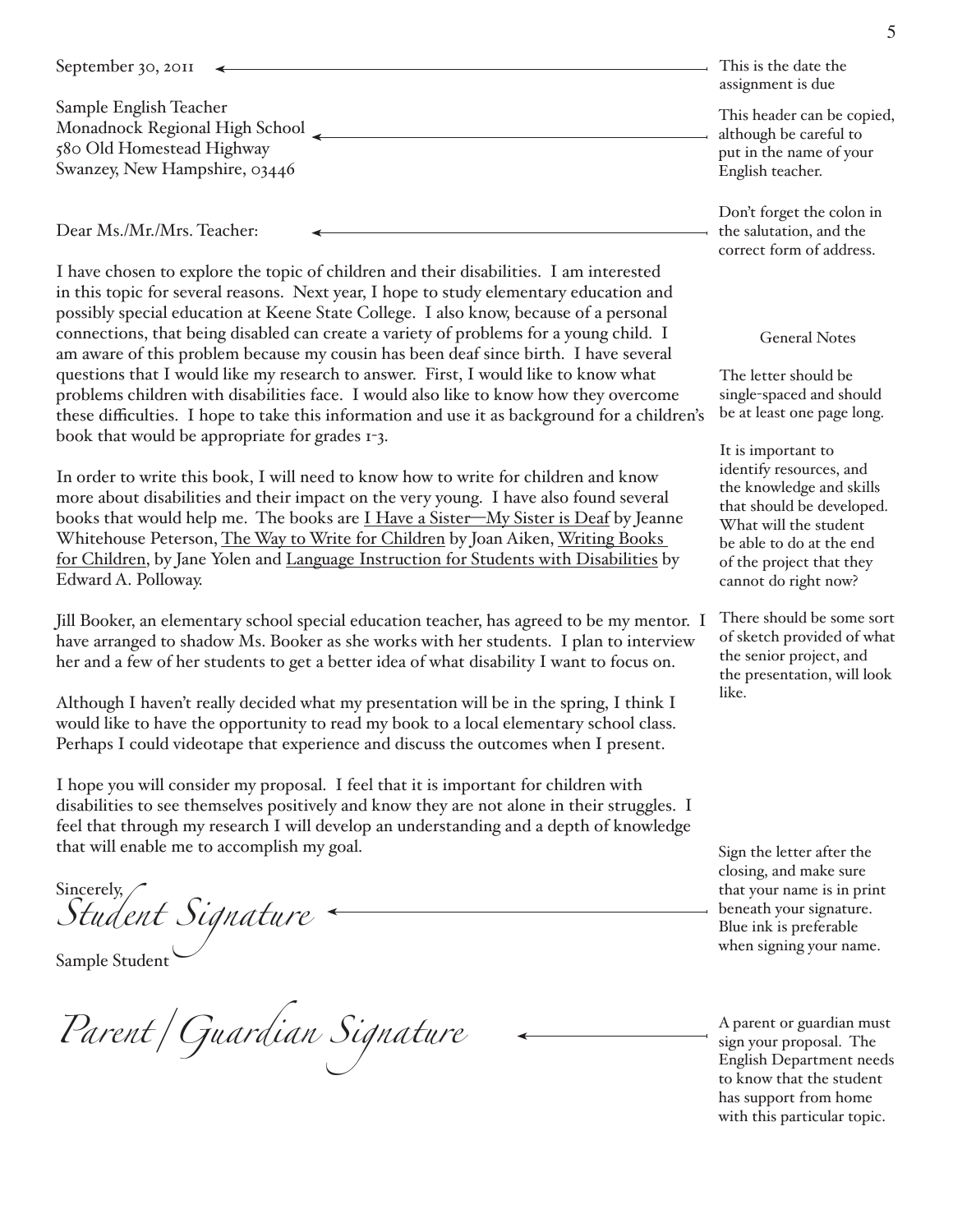| September 30, 2011             | This is the date the<br>assignment is due |
|--------------------------------|-------------------------------------------|
| Sample English Teacher         | This header can be copied.                |
| Monadnock Regional High School | although be careful to                    |
| 580 Old Homestead Highway      | put in the name of your                   |
| Swanzey, New Hampshire, 03446  | English teacher.                          |

Dear Ms./Mr./Mrs. Teacher:

I have chosen to explore the topic of children and their disabilities. I am interested in this topic for several reasons. Next year, I hope to study elementary education and possibly special education at Keene State College. I also know, because of a personal connections, that being disabled can create a variety of problems for a young child. I am aware of this problem because my cousin has been deaf since birth. I have several questions that I would like my research to answer. First, I would like to know what problems children with disabilities face. I would also like to know how they overcome these difficulties. I hope to take this information and use it as background for a children's book that would be appropriate for grades 1-3.

In order to write this book, I will need to know how to write for children and know more about disabilities and their impact on the very young. I have also found several books that would help me. The books are I Have a Sister—My Sister is Deaf by Jeanne Whitehouse Peterson, The Way to Write for Children by Joan Aiken, Writing Books for Children, by Jane Yolen and Language Instruction for Students with Disabilities by Edward A. Polloway.

Jill Booker, an elementary school special education teacher, has agreed to be my mentor. I have arranged to shadow Ms. Booker as she works with her students. I plan to interview her and a few of her students to get a better idea of what disability I want to focus on.

Although I haven't really decided what my presentation will be in the spring, I think I would like to have the opportunity to read my book to a local elementary school class. Perhaps I could videotape that experience and discuss the outcomes when I present.

I hope you will consider my proposal. I feel that it is important for children with disabilities to see themselves positively and know they are not alone in their struggles. I feel that through my research I will develop an understanding and a depth of knowledge that will enable me to accomplish my goal.

Sincerely,<br>Student Signature Sincerely,

Parent / Guardian Signature

Don't forget the colon in the salutation, and the correct form of address.

#### **General Notes**

The letter should be single-spaced and should be at least one page long.

It is important to identify resources, and the knowledge and skills that should be developed. What will the student be able to do at the end of the project that they cannot do right now?

There should be some sort of sketch provided of what the senior project, and the presentation, will look like.

Sign the letter after the closing, and make sure that your name is in print beneath your signature. Blue ink is preferable. when signing your name.

A parent or guardian must sign your proposal. The **English Department needs** to know that the student has support from home with this particular topic.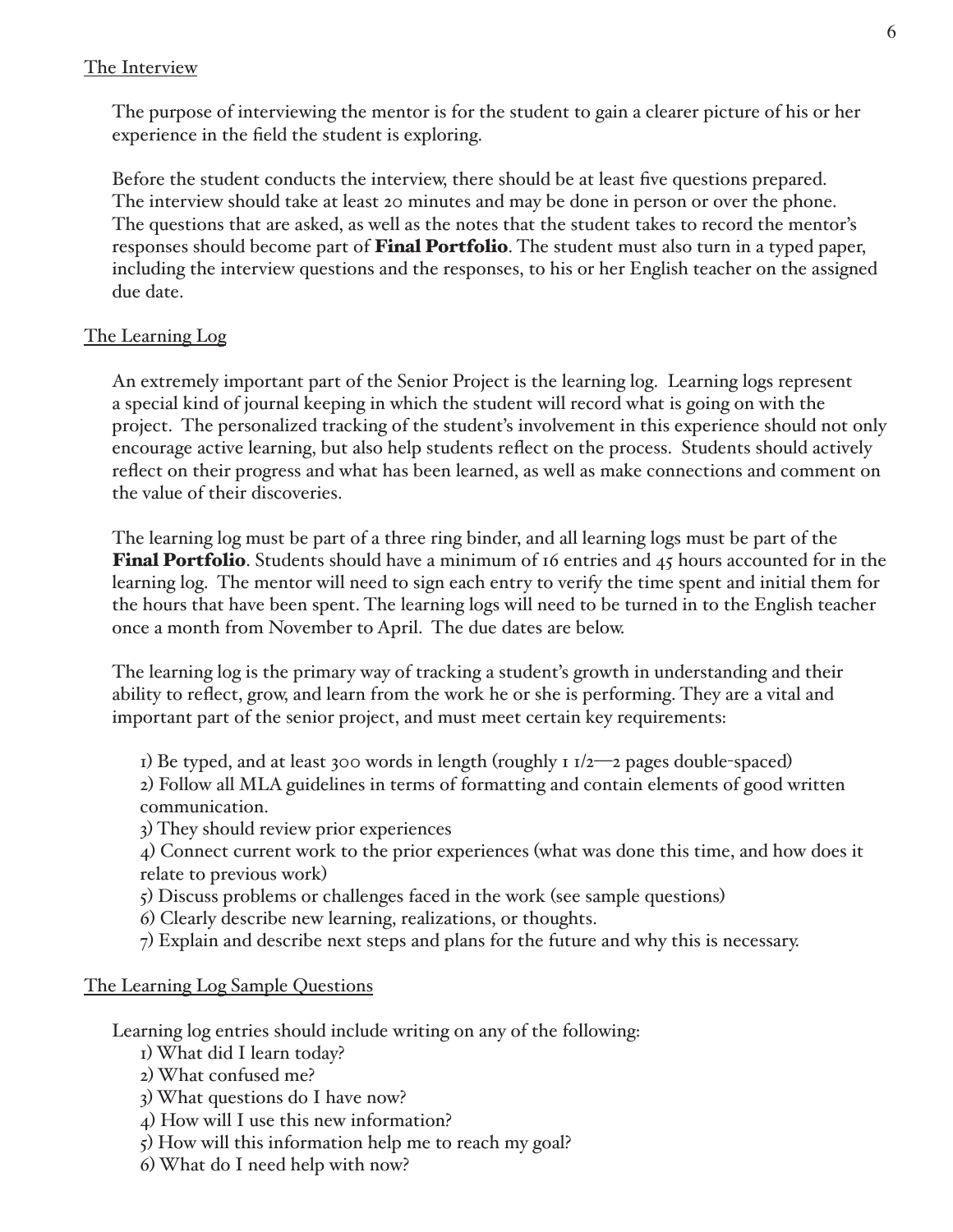#### The Interview

The purpose of interviewing the mentor is for the student to gain a clearer picture of his or her experience in the field the student is exploring.

Before the student conducts the interview, there should be at least five questions prepared. The interview should take at least 20 minutes and may be done in person or over the phone. The questions that are asked, as well as the notes that the student takes to record the mentor's responses should become part of Final Portfolio. The student must also turn in a typed paper, including the interview questions and the responses, to his or her English teacher on the assigned due date.

# The Learning Log

An extremely important part of the Senior Project is the learning log. Learning logs represent a special kind of journal keeping in which the student will record what is going on with the project. The personalized tracking of the student's involvement in this experience should not only encourage active learning, but also help students reflect on the process. Students should actively reflect on their progress and what has been learned, as well as make connections and comment on the value of their discoveries.

The learning log must be part of a three ring binder, and all learning logs must be part of the **Final Portfolio**. Students should have a minimum of 16 entries and 45 hours accounted for in the learning log. The mentor will need to sign each entry to verify the time spent and initial them for the hours that have been spent. The learning logs will need to be turned in to the English teacher once a month from November to April. The due dates are below.

The learning log is the primary way of tracking a student's growth in understanding and their ability to reflect, grow, and learn from the work he or she is performing. They are a vital and important part of the senior project, and must meet certain key requirements:

I) Be typed, and at least 300 words in length (roughly  $1/2$ —2 pages double-spaced) 2) Follow all MLA guidelines in terms of formatting and contain elements of good written communication.

3) They should review prior experiences

4) Connect current work to the prior experiences (what was done this time, and how does it relate to previous work)

- 5) Discuss problems or challenges faced in the work (see sample questions)
- 6) Clearly describe new learning, realizations, or thoughts.
- 7) Explain and describe next steps and plans for the future and why this is necessary.

# The Learning Log Sample Questions

Learning log entries should include writing on any of the following:

- I) What did I learn today?
- 2) What confused me?
- 3) What questions do I have now?
- 4) How will I use this new information?
- 5) How will this information help me to reach my goal?
- 6) What do I need help with now?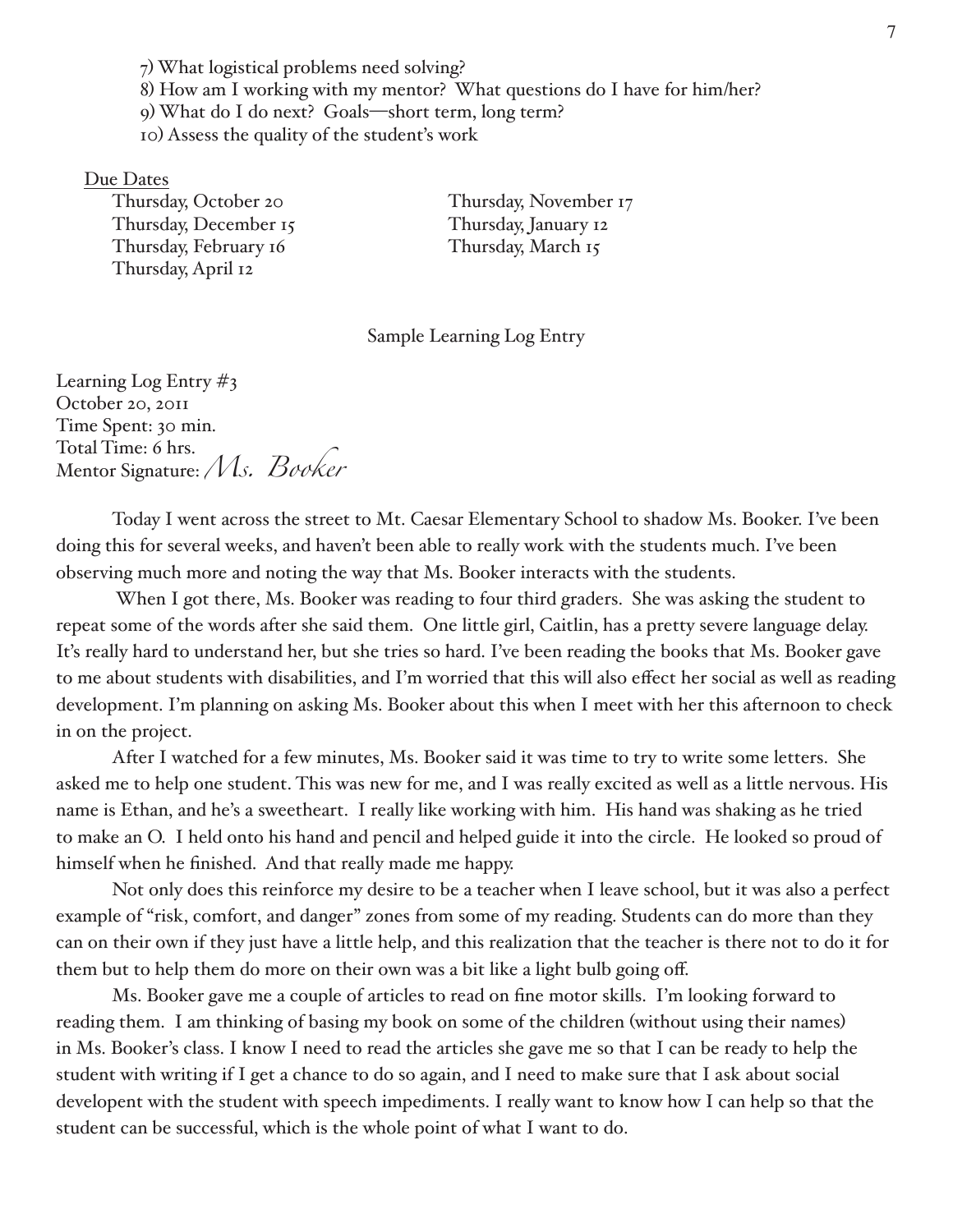7) What logistical problems need solving? 8) How am I working with my mentor? What questions do I have for him/her? 9) What do I do next? Goals-short term, long term? IO) Assess the quality of the student's work

#### Due Dates

Thursday, October 20 Thursday, December 15 Thursday, February 16 Thursday, April 12

Thursday, November 17 Thursday, January 12 Thursday, March 15

Sample Learning Log Entry

Learning Log Entry  $\#_3$ October 20, 2011 Time Spent: 30 min. Total Time: 6 hrs. Mentor Signature: Ms. Booker

Today I went across the street to Mt. Caesar Elementary School to shadow Ms. Booker. I've been doing this for several weeks, and haven't been able to really work with the students much. I've been observing much more and noting the way that Ms. Booker interacts with the students.

When I got there, Ms. Booker was reading to four third graders. She was asking the student to repeat some of the words after she said them. One little girl, Caitlin, has a pretty severe language delay. It's really hard to understand her, but she tries so hard. I've been reading the books that Ms. Booker gave to me about students with disabilities, and I'm worried that this will also effect her social as well as reading development. I'm planning on asking Ms. Booker about this when I meet with her this afternoon to check in on the project.

After I watched for a few minutes, Ms. Booker said it was time to try to write some letters. She asked me to help one student. This was new for me, and I was really excited as well as a little nervous. His name is Ethan, and he's a sweetheart. I really like working with him. His hand was shaking as he tried to make an O. I held onto his hand and pencil and helped guide it into the circle. He looked so proud of himself when he finished. And that really made me happy.

Not only does this reinforce my desire to be a teacher when I leave school, but it was also a perfect example of "risk, comfort, and danger" zones from some of my reading. Students can do more than they can on their own if they just have a little help, and this realization that the teacher is there not to do it for them but to help them do more on their own was a bit like a light bulb going off.

Ms. Booker gave me a couple of articles to read on fine motor skills. I'm looking forward to reading them. I am thinking of basing my book on some of the children (without using their names) in Ms. Booker's class. I know I need to read the articles she gave me so that I can be ready to help the student with writing if I get a chance to do so again, and I need to make sure that I ask about social developent with the student with speech impediments. I really want to know how I can help so that the student can be successful, which is the whole point of what I want to do.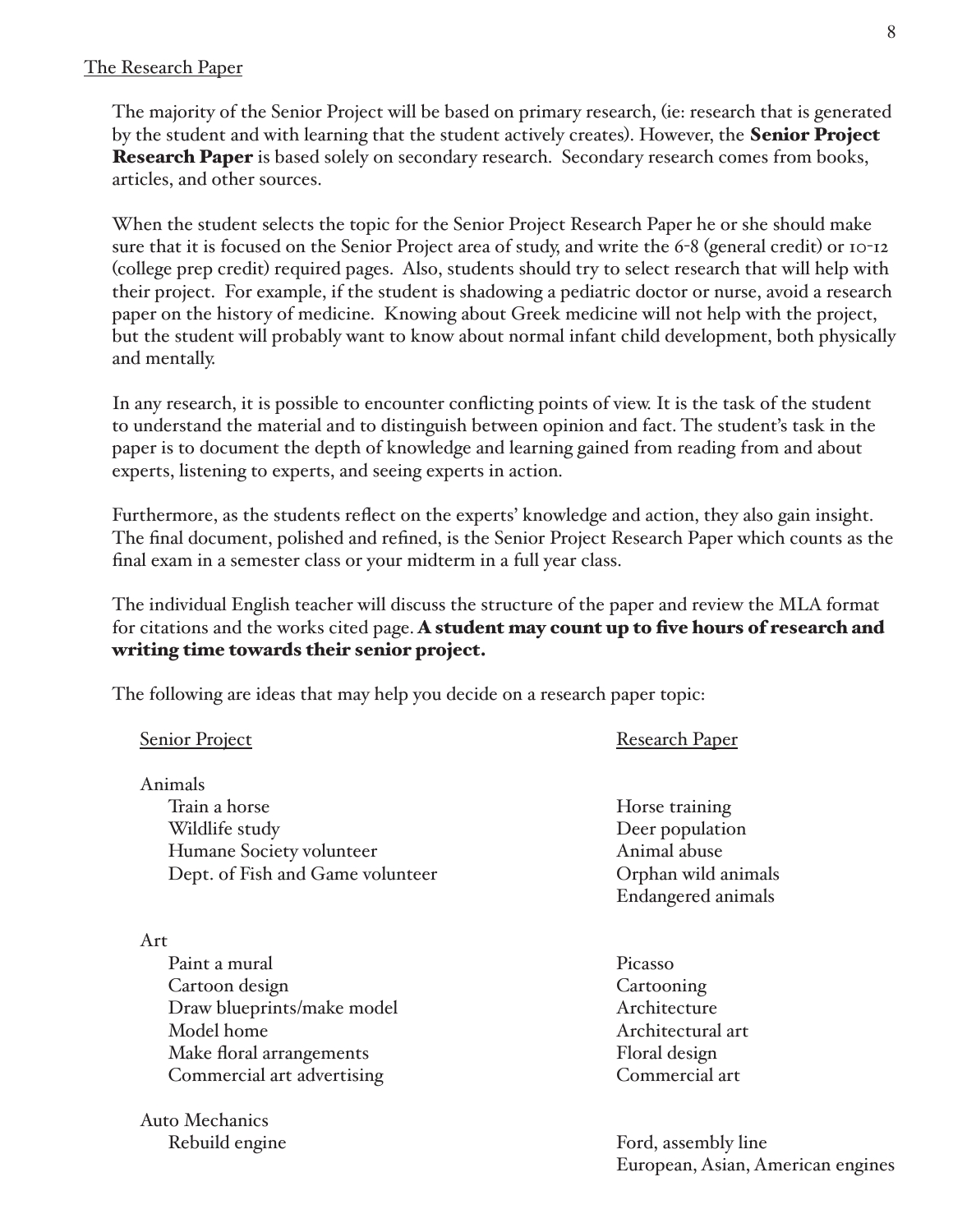#### The Research Paper

**Auto Mechanics** 

Rebuild engine

The majority of the Senior Project will be based on primary research, (ie: research that is generated by the student and with learning that the student actively creates). However, the **Senior Project Research Paper** is based solely on secondary research. Secondary research comes from books, articles, and other sources.

When the student selects the topic for the Senior Project Research Paper he or she should make sure that it is focused on the Senior Project area of study, and write the 6-8 (general credit) or 10-12 (college prep credit) required pages. Also, students should try to select research that will help with their project. For example, if the student is shadowing a pediatric doctor or nurse, avoid a research paper on the history of medicine. Knowing about Greek medicine will not help with the project, but the student will probably want to know about normal infant child development, both physically and mentally.

In any research, it is possible to encounter conflicting points of view. It is the task of the student to understand the material and to distinguish between opinion and fact. The student's task in the paper is to document the depth of knowledge and learning gained from reading from and about experts, listening to experts, and seeing experts in action.

Furthermore, as the students reflect on the experts' knowledge and action, they also gain insight. The final document, polished and refined, is the Senior Project Research Paper which counts as the final exam in a semester class or your midterm in a full year class.

The individual English teacher will discuss the structure of the paper and review the MLA format for citations and the works cited page. A student may count up to five hours of research and writing time towards their senior project.

The following are ideas that may help you decide on a research paper topic:

| <b>Senior Project</b>            | <b>Research Paper</b> |
|----------------------------------|-----------------------|
| Animals                          |                       |
| Train a horse                    | Horse training        |
| Wildlife study                   | Deer population       |
| Humane Society volunteer         | Animal abuse          |
| Dept. of Fish and Game volunteer | Orphan wild animals   |
|                                  | Endangered animals    |
| Art                              |                       |
| Paint a mural                    | Picasso               |
| Cartoon design                   | Cartooning            |
| Draw blueprints/make model       | Architecture          |
| Model home                       | Architectural art     |
| Make floral arrangements         | Floral design         |
| Commercial art advertising       | Commercial art        |
|                                  |                       |

Ford, assembly line European, Asian, American engines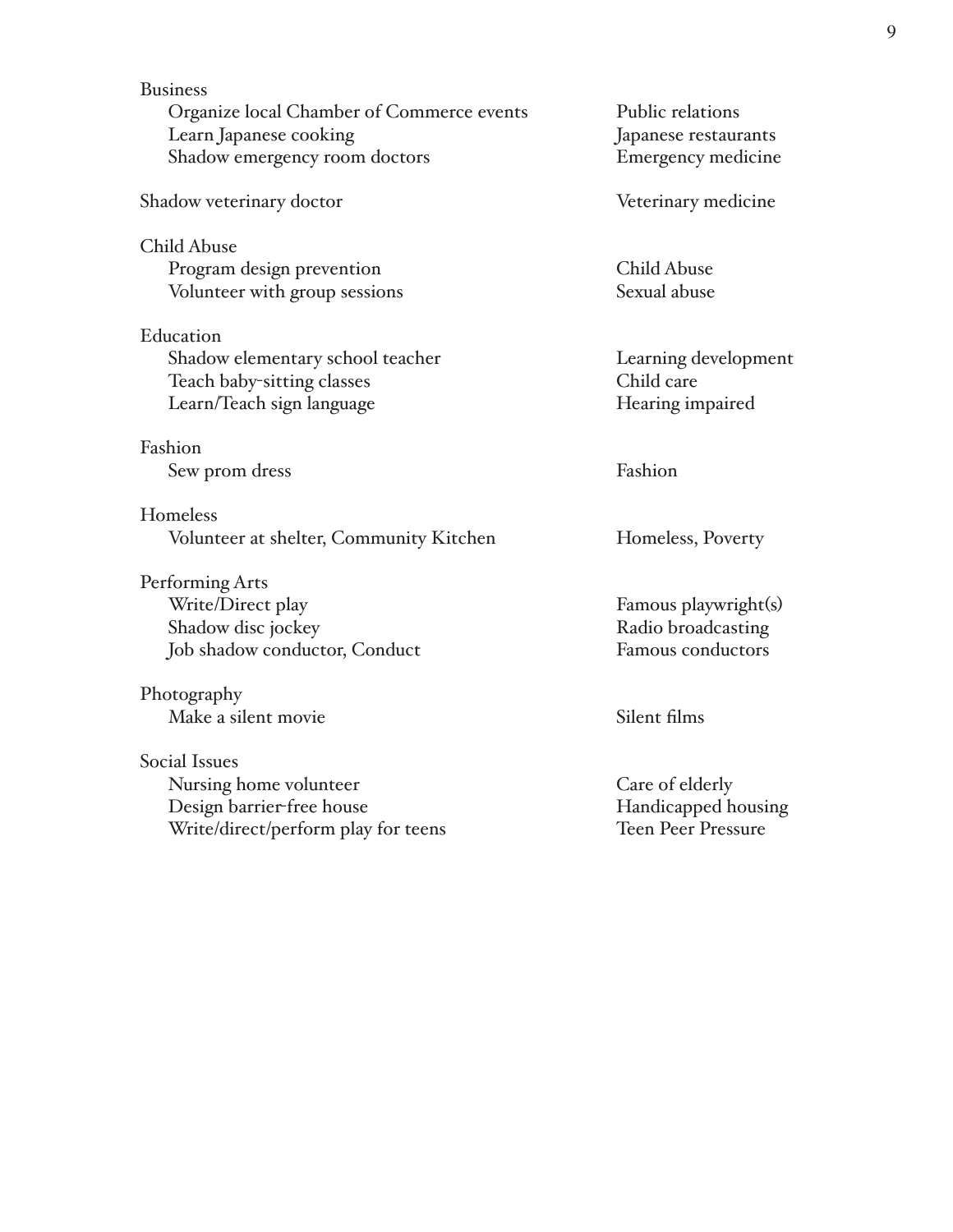**Business** Organize local Chamber of Commerce events Learn Japanese cooking Shadow emergency room doctors Shadow veterinary doctor **Child Abuse** Program design prevention Volunteer with group sessions Education Shadow elementary school teacher Teach baby-sitting classes Learn/Teach sign language Fashion Sew prom dress Homeless Volunteer at shelter, Community Kitchen Performing Arts Write/Direct play Shadow disc jockey Job shadow conductor, Conduct Photography Make a silent movie **Social Issues** Nursing home volunteer Design barrier-free house

Write/direct/perform play for teens

Public relations Japanese restaurants **Emergency medicine** 

Veterinary medicine

**Child Abuse** Sexual abuse

Learning development Child care Hearing impaired

Fashion

Homeless, Poverty

Famous playwright(s) Radio broadcasting Famous conductors

Silent films

Care of elderly Handicapped housing **Teen Peer Pressure**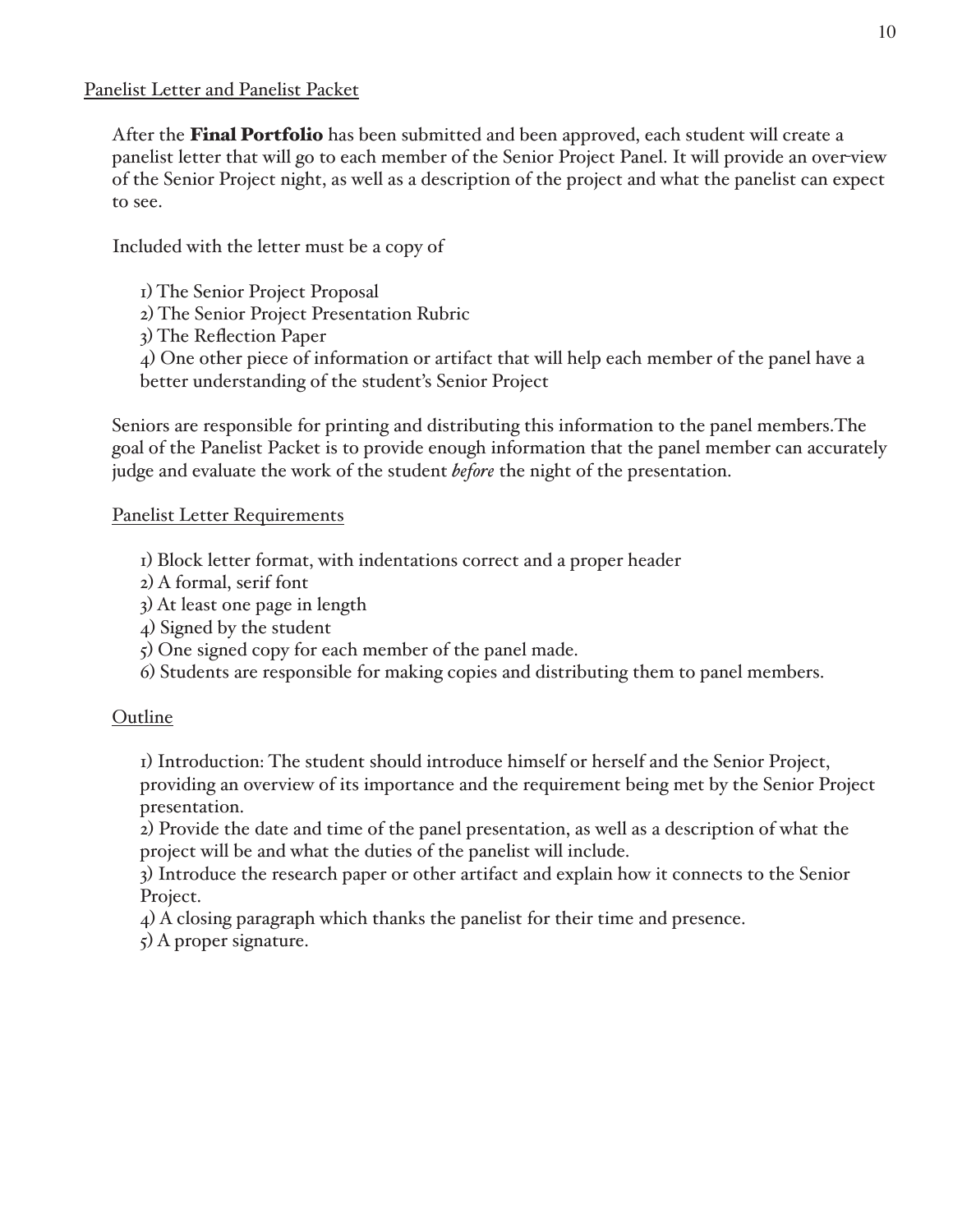After the **Final Portfolio** has been submitted and been approved, each student will create a panelist letter that will go to each member of the Senior Project Panel. It will provide an over view of the Senior Project night, as well as a description of the project and what the panelist can expect to see.

Included with the letter must be a copy of

- I) The Senior Project Proposal
- 2) The Senior Project Presentation Rubric
- 3) The Reflection Paper

4) One other piece of information or artifact that will help each member of the panel have a better understanding of the student's Senior Project

Seniors are responsible for printing and distributing this information to the panel members. The goal of the Panelist Packet is to provide enough information that the panel member can accurately judge and evaluate the work of the student *before* the night of the presentation.

# **Panelist Letter Requirements**

- I) Block letter format, with indentations correct and a proper header
- 2) A formal, serif font
- 3) At least one page in length
- $\downarrow$ ) Signed by the student
- 5) One signed copy for each member of the panel made.
- 6) Students are responsible for making copies and distributing them to panel members.

# Outline

I) Introduction: The student should introduce himself or herself and the Senior Project, providing an overview of its importance and the requirement being met by the Senior Project presentation.

2) Provide the date and time of the panel presentation, as well as a description of what the project will be and what the duties of the panelist will include.

3) Introduce the research paper or other artifact and explain how it connects to the Senior Project.

4) A closing paragraph which thanks the panelist for their time and presence.

 $\zeta$ ) A proper signature.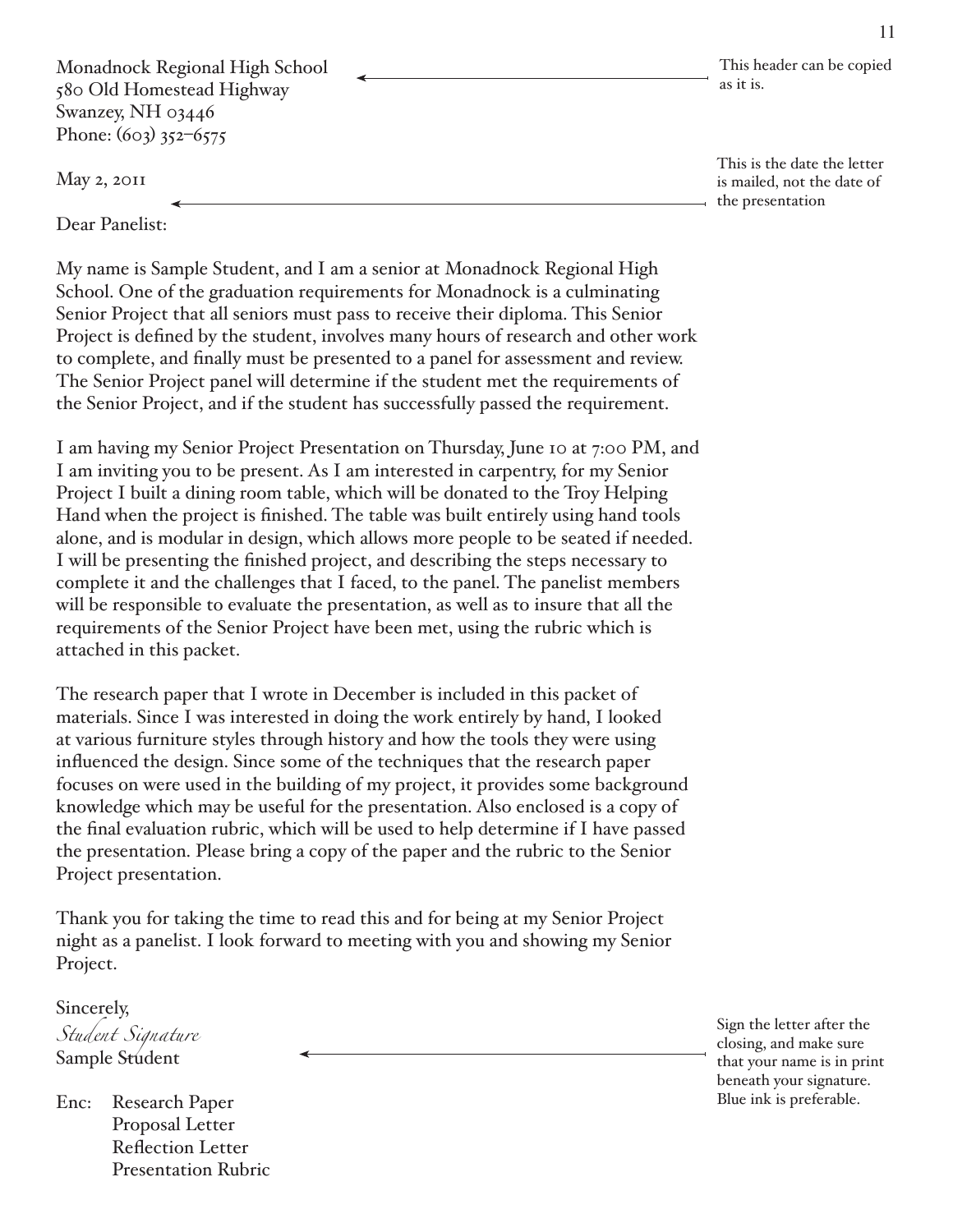Monadnock Regional High School 580 Old Homestead Highway Swanzey, NH 03446 Phone:  $(603)$  352–6575

 $May 2, 20II$ 

Dear Panelist:

My name is Sample Student, and I am a senior at Monadnock Regional High School. One of the graduation requirements for Monadnock is a culminating Senior Project that all seniors must pass to receive their diploma. This Senior Project is defined by the student, involves many hours of research and other work to complete, and finally must be presented to a panel for assessment and review. The Senior Project panel will determine if the student met the requirements of the Senior Project, and if the student has successfully passed the requirement.

I am having my Senior Project Presentation on Thursday, June 10 at 7:00 PM, and I am inviting you to be present. As I am interested in carpentry, for my Senior Project I built a dining room table, which will be donated to the Troy Helping Hand when the project is finished. The table was built entirely using hand tools alone, and is modular in design, which allows more people to be seated if needed. I will be presenting the finished project, and describing the steps necessary to complete it and the challenges that I faced, to the panel. The panelist members will be responsible to evaluate the presentation, as well as to insure that all the requirements of the Senior Project have been met, using the rubric which is attached in this packet.

The research paper that I wrote in December is included in this packet of materials. Since I was interested in doing the work entirely by hand, I looked at various furniture styles through history and how the tools they were using influenced the design. Since some of the techniques that the research paper focuses on were used in the building of my project, it provides some background knowledge which may be useful for the presentation. Also enclosed is a copy of the final evaluation rubric, which will be used to help determine if I have passed the presentation. Please bring a copy of the paper and the rubric to the Senior Project presentation.

Thank you for taking the time to read this and for being at my Senior Project night as a panelist. I look forward to meeting with you and showing my Senior Project.

Sincerely,

Student Signature Sample Student

**Research Paper** Enc: Proposal Letter Reflection Letter **Presentation Rubric**  This header can be copied as it is.

This is the date the letter is mailed, not the date of the presentation

Sign the letter after the closing, and make sure that your name is in print beneath your signature. Blue ink is preferable.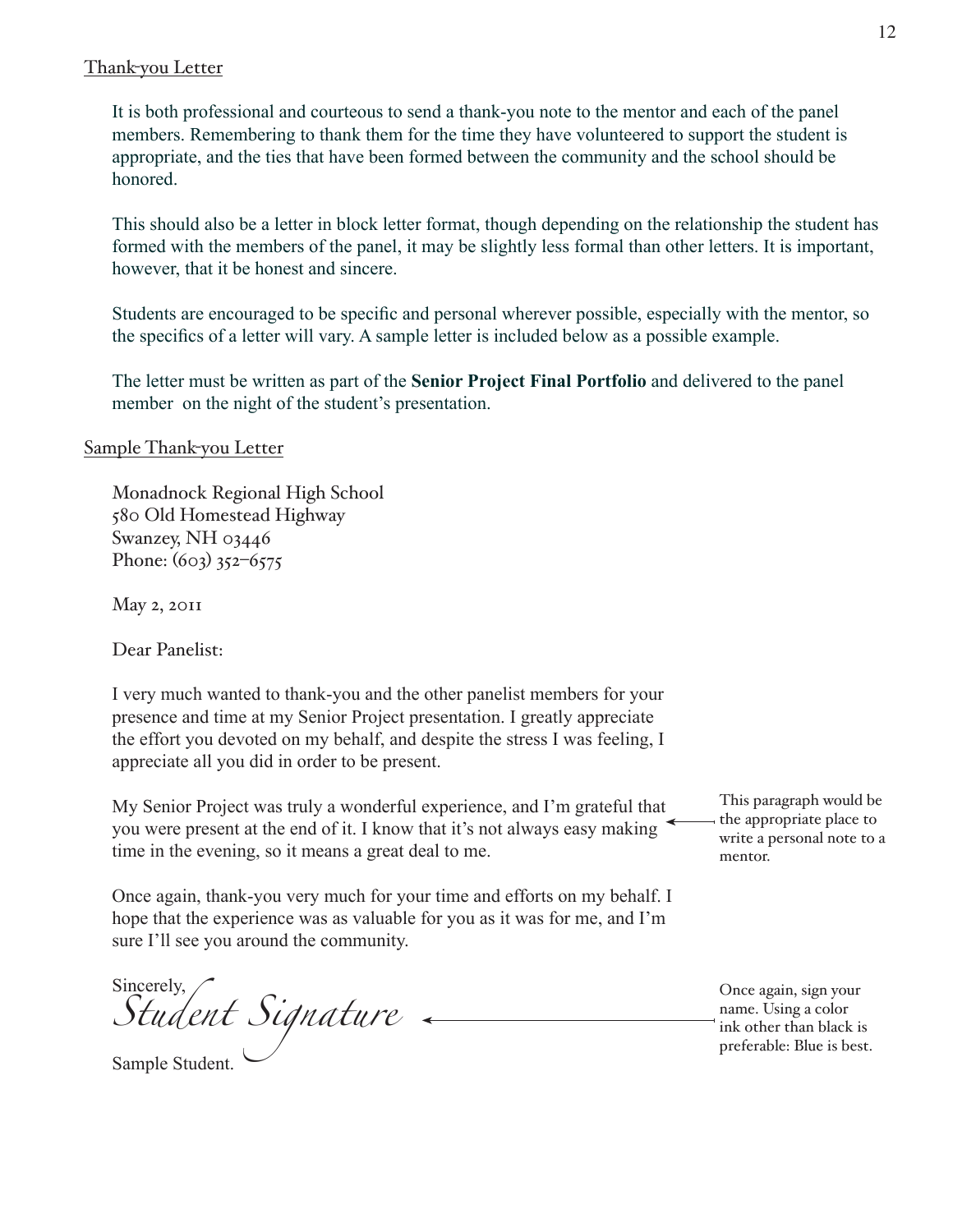#### Thank-you Letter

It is both professional and courteous to send a thank-you note to the mentor and each of the panel members. Remembering to thank them for the time they have volunteered to support the student is appropriate, and the ties that have been formed between the community and the school should be honored.

This should also be a letter in block letter format, though depending on the relationship the student has formed with the members of the panel, it may be slightly less formal than other letters. It is important, however, that it be honest and sincere.

Students are encouraged to be specific and personal wherever possible, especially with the mentor, so the specifics of a letter will vary. A sample letter is included below as a possible example.

The letter must be written as part of the **Senior Project Final Portfolio** and delivered to the panel member on the night of the student's presentation.

#### Sample Thank-you Letter

Monadnock Regional High School 580 Old Homestead Highway Swanzey, NH 03446 Phone:  $(603)$  352-6575

 $May 2, 20II$ 

Dear Panelist:

I very much wanted to thank-you and the other panelist members for your presence and time at my Senior Project presentation. I greatly appreciate the effort you devoted on my behalf, and despite the stress I was feeling, I appreciate all you did in order to be present.

My Senior Project was truly a wonderful experience, and I'm grateful that you were present at the end of it. I know that it's not always easy making time in the evening, so it means a great deal to me.

Once again, thank-you very much for your time and efforts on my behalf. I hope that the experience was as valuable for you as it was for me, and I'm sure I'll see you around the community.

Sincerely, *Student Signature*

Sample Student.

This paragraph would be the appropriate place to write a personal note to a mentor.

Once again, sign your name. Using a color ink other than black is preferable: Blue is best.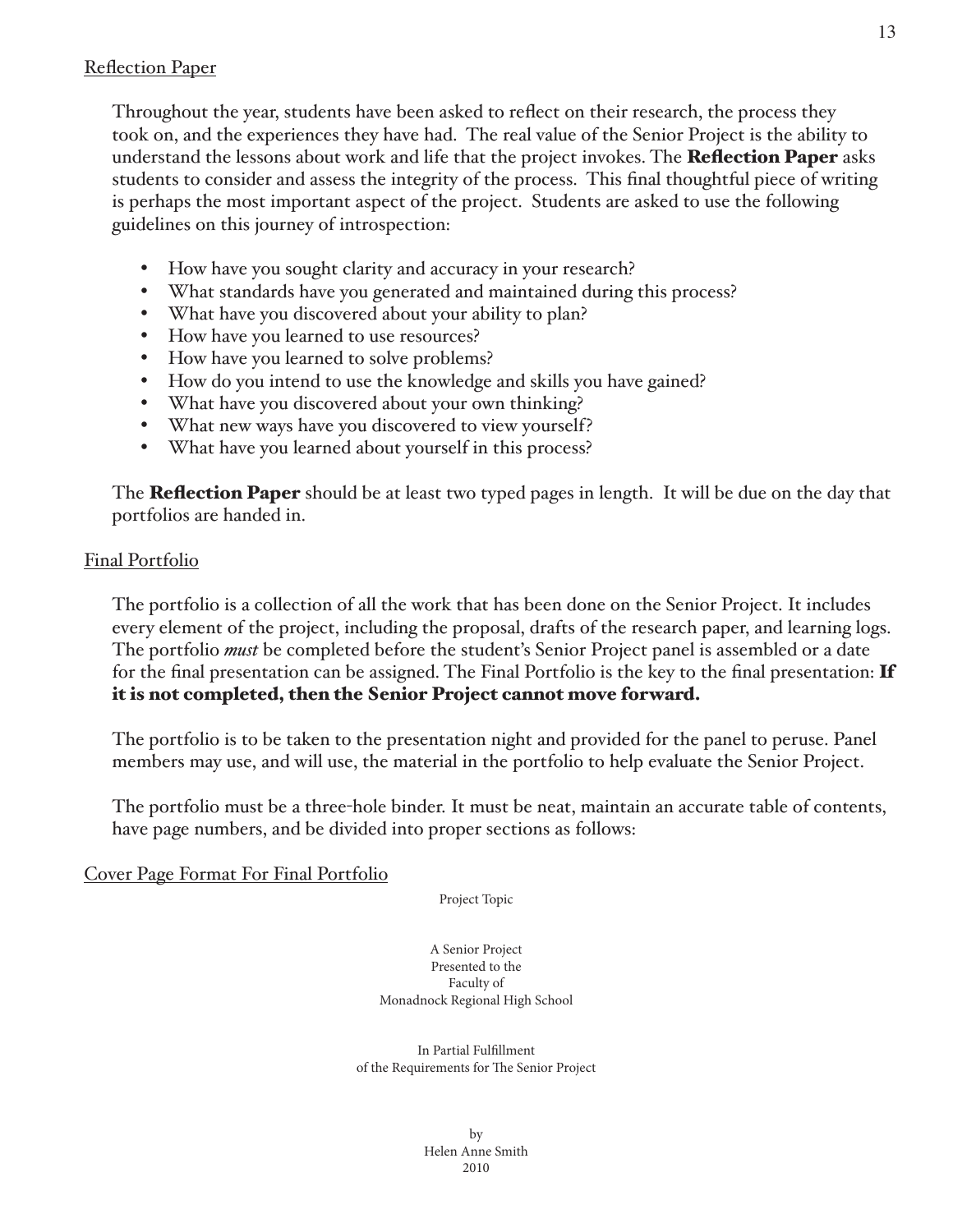Throughout the year, students have been asked to reflect on their research, the process they took on, and the experiences they have had. The real value of the Senior Project is the ability to understand the lessons about work and life that the project invokes. The **Reflection Paper** asks students to consider and assess the integrity of the process. This final thoughtful piece of writing is perhaps the most important aspect of the project. Students are asked to use the following guidelines on this journey of introspection:

- How have you sought clarity and accuracy in your research?
- What standards have you generated and maintained during this process?
- What have you discovered about your ability to plan?
- How have you learned to use resources?
- How have you learned to solve problems?
- How do you intend to use the knowledge and skills you have gained?
- What have you discovered about your own thinking?
- What new ways have you discovered to view yourself?
- What have you learned about yourself in this process?

The **Reflection Paper** should be at least two typed pages in length. It will be due on the day that portfolios are handed in.

# Final Portfolio

The portfolio is a collection of all the work that has been done on the Senior Project. It includes every element of the project, including the proposal, drafts of the research paper, and learning logs. The portfolio *must* be completed before the student's Senior Project panel is assembled or a date for the final presentation can be assigned. The Final Portfolio is the key to the final presentation:  $\mathbf{If}$ it is not completed, then the Senior Project cannot move forward.

The portfolio is to be taken to the presentation night and provided for the panel to peruse. Panel members may use, and will use, the material in the portfolio to help evaluate the Senior Project.

The portfolio must be a three-hole binder. It must be neat, maintain an accurate table of contents, have page numbers, and be divided into proper sections as follows:

Cover Page Format For Final Portfolio

Project Topic

A Senior Project Presented to the Faculty of Monadnock Regional High School

In Partial Fulfillment of the Requirements for The Senior Project

> $hv$ Helen Anne Smith 2010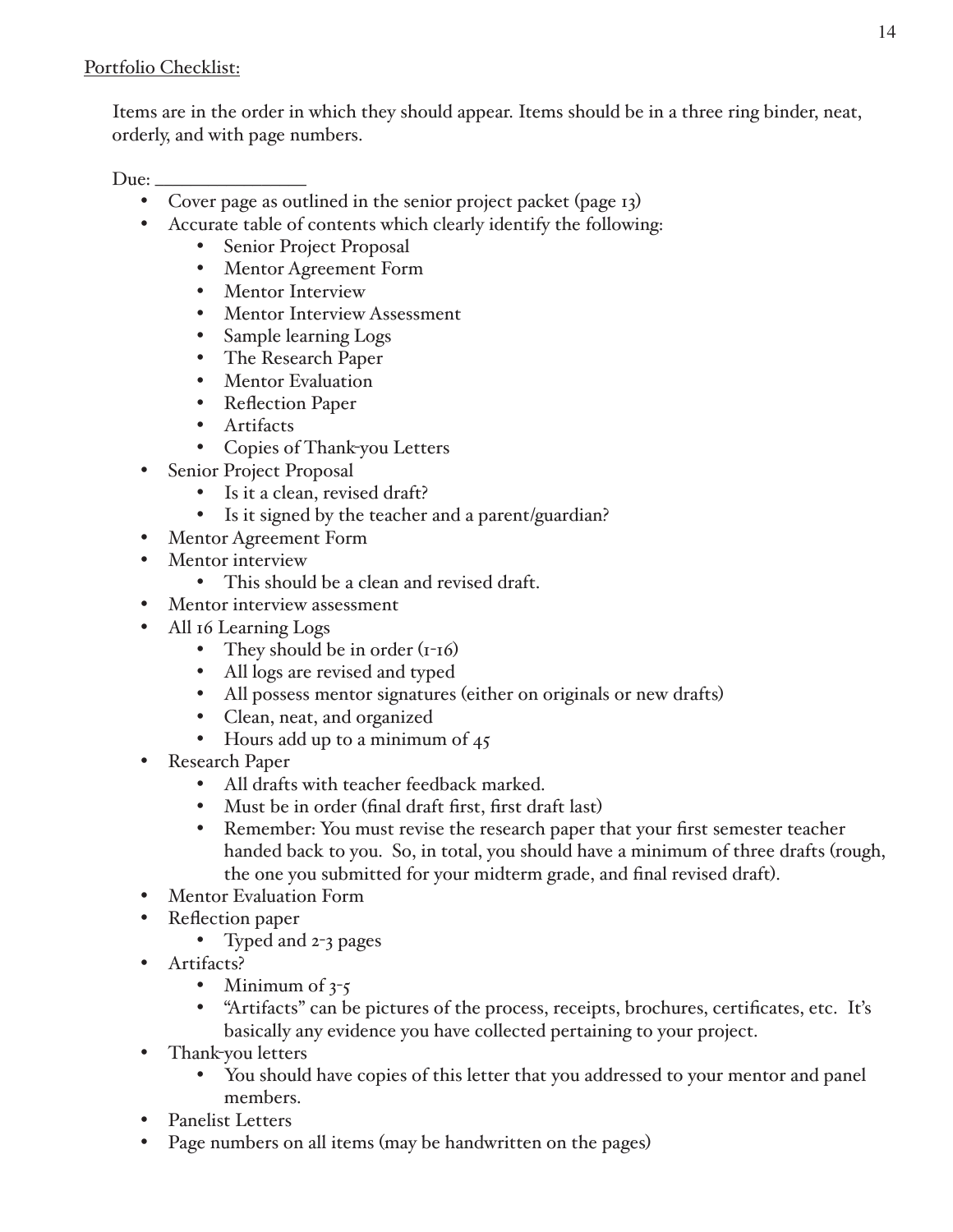Items are in the order in which they should appear. Items should be in a three ring binder, neat, orderly, and with page numbers.

Due:  $\overline{\phantom{a}}$ 

- Cover page as outlined in the senior project packet (page 13)
- Accurate table of contents which clearly identify the following:
	- Senior Project Proposal
	- Mentor Agreement Form  $\bullet$
	- $\bullet$ **Mentor Interview**
	- Mentor Interview Assessment
	- $\bullet$ Sample learning Logs
	- The Research Paper
	- Mentor Evaluation
	- Reflection Paper
	- Artifacts
	- Copies of Thank-you Letters
- **Senior Project Proposal** 
	- Is it a clean, revised draft?
	- $\bullet$ Is it signed by the teacher and a parent/guardian?
- Mentor Agreement Form
- Mentor interview
	- This should be a clean and revised draft.
- Mentor interview assessment
- All 16 Learning Logs
	- They should be in order  $(r-16)$
	- All logs are revised and typed
	- All possess mentor signatures (either on originals or new drafts)
	- Clean, neat, and organized
	- Hours add up to a minimum of  $45$
- **Research Paper** 
	- All drafts with teacher feedback marked.
	- Must be in order (final draft first, first draft last)
	- Remember: You must revise the research paper that your first semester teacher handed back to you. So, in total, you should have a minimum of three drafts (rough, the one you submitted for your midterm grade, and final revised draft).
- Mentor Evaluation Form
- Reflection paper
	- Typed and 2-3 pages
- Artifacts?
	- Minimum of  $3-5$
	- $\bullet$ "Artifacts" can be pictures of the process, receipts, brochures, certificates, etc. It's basically any evidence you have collected pertaining to your project.
- Thank-you letters
	- $\bullet$ You should have copies of this letter that you addressed to your mentor and panel members.
- **Panelist Letters**
- Page numbers on all items (may be handwritten on the pages)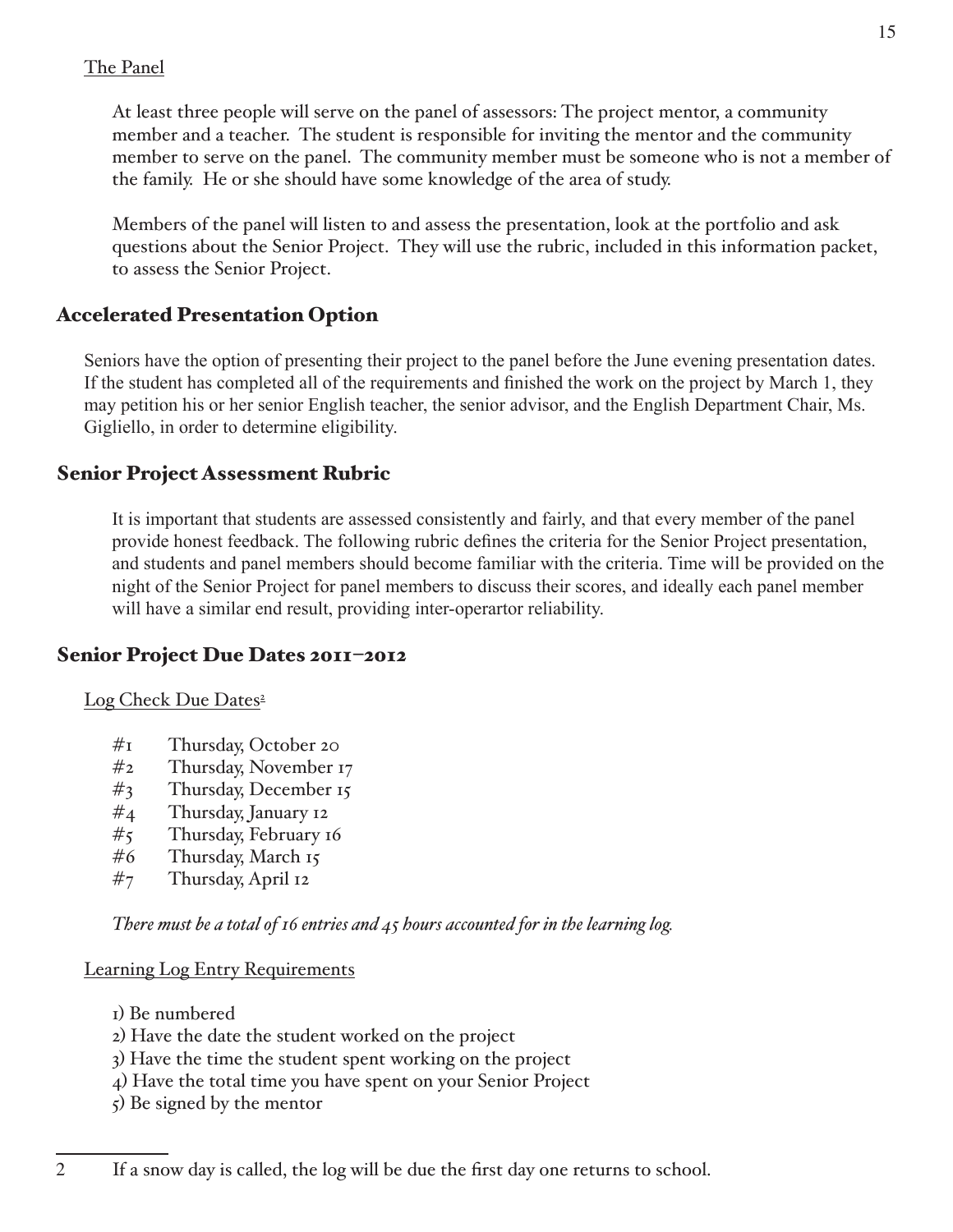# The Panel

At least three people will serve on the panel of assessors: The project mentor, a community member and a teacher. The student is responsible for inviting the mentor and the community member to serve on the panel. The community member must be someone who is not a member of the family. He or she should have some knowledge of the area of study.

Members of the panel will listen to and assess the presentation, look at the portfolio and ask questions about the Senior Project. They will use the rubric, included in this information packet, to assess the Senior Project.

# **Accelerated Presentation Option**

Seniors have the option of presenting their project to the panel before the June evening presentation dates. If the student has completed all of the requirements and finished the work on the project by March 1, they may petition his or her senior English teacher, the senior advisor, and the English Department Chair, Ms. Gigliello, in order to determine eligibility.

# **Senior Project Assessment Rubric**

It is important that students are assessed consistently and fairly, and that every member of the panel provide honest feedback. The following rubric defines the criteria for the Senior Project presentation, and students and panel members should become familiar with the criteria. Time will be provided on the night of the Senior Project for panel members to discuss their scores, and ideally each panel member will have a similar end result, providing inter-operartor reliability.

# Senior Project Due Dates 2011-2012

#### Log Check Due Dates<sup>2</sup>

- $\#$ I Thursday, October 20
- $#_2$ Thursday, November 17
- $#_3$ Thursday, December 15
- $#_4$ Thursday, January 12
- $#_5$ Thursday, February 16
- #6 Thursday, March 15
- $#_7$ Thursday, April 12

There must be a total of 16 entries and  $45$  hours accounted for in the learning log.

#### **Learning Log Entry Requirements**

- I) Be numbered
- 2) Have the date the student worked on the project
- 3) Have the time the student spent working on the project
- 4) Have the total time you have spent on your Senior Project
- $\zeta$ ) Be signed by the mentor

 $\overline{2}$ If a snow day is called, the log will be due the first day one returns to school.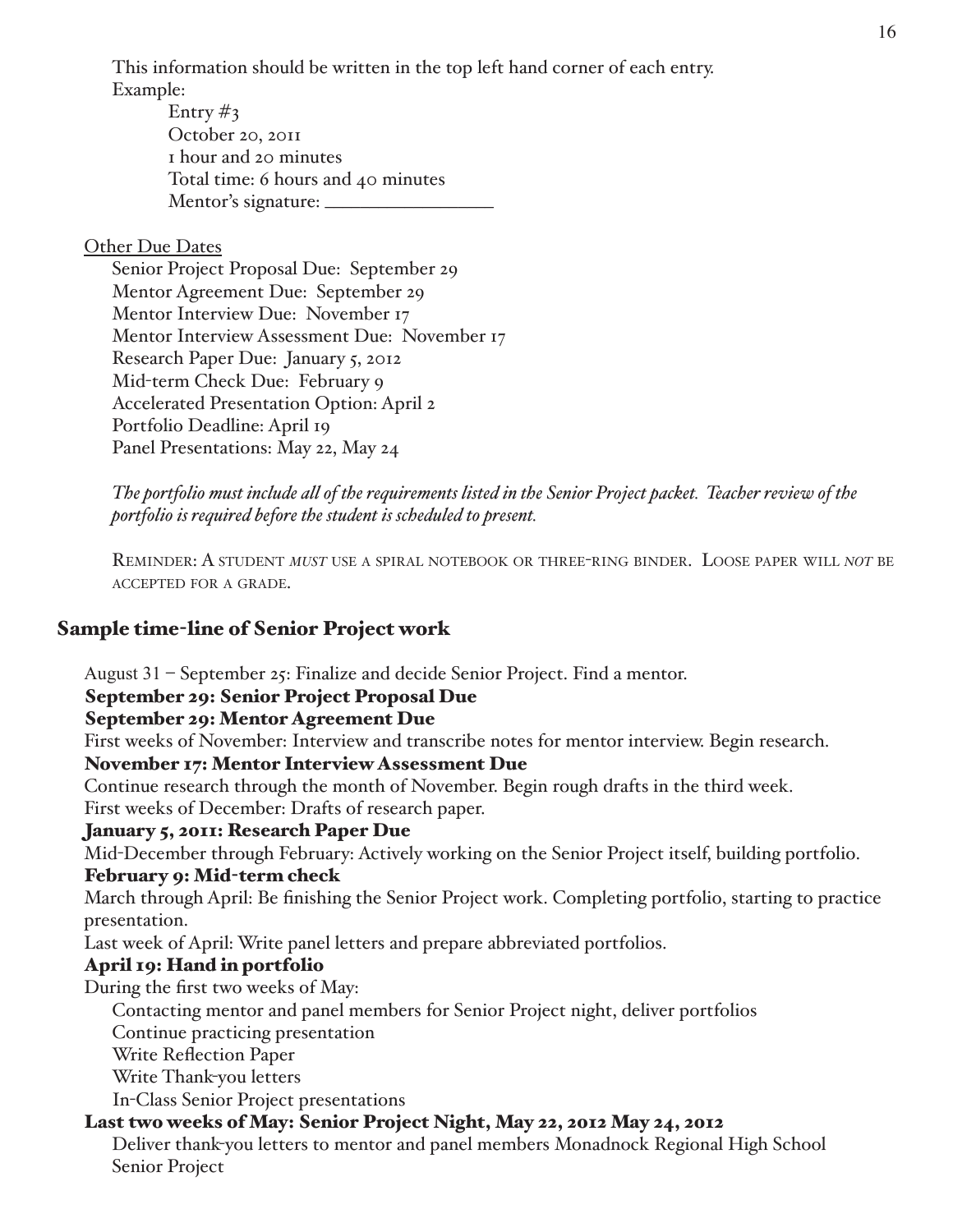This information should be written in the top left hand corner of each entry. Example:

Entry  $\#_3$ October 20, 2011 I hour and 20 minutes Total time: 6 hours and 40 minutes 

#### Other Due Dates

Senior Project Proposal Due: September 29 Mentor Agreement Due: September 29 Mentor Interview Due: November 17 Mentor Interview Assessment Due: November 17 Research Paper Due: January 5, 2012 Mid-term Check Due: February 9 Accelerated Presentation Option: April 2 Portfolio Deadline: April 19 Panel Presentations: May 22, May 24

The portfolio must include all of the requirements listed in the Senior Project packet. Teacher review of the portfolio is required before the student is scheduled to present.

REMINDER: A STUDENT MUST USE A SPIRAL NOTEBOOK OR THREE-RING BINDER. LOOSE PAPER WILL NOT BE ACCEPTED FOR A GRADE.

# **Sample time-line of Senior Project work**

August  $31$  – September  $25$ : Finalize and decide Senior Project. Find a mentor.

#### September 29: Senior Project Proposal Due

#### September 29: Mentor Agreement Due

First weeks of November: Interview and transcribe notes for mentor interview. Begin research.

#### **November 17: Mentor Interview Assessment Due**

Continue research through the month of November. Begin rough drafts in the third week. First weeks of December: Drafts of research paper.

#### **January 5, 2011: Research Paper Due**

Mid-December through February: Actively working on the Senior Project itself, building portfolio.

#### February 9: Mid-term check

March through April: Be finishing the Senior Project work. Completing portfolio, starting to practice presentation.

Last week of April: Write panel letters and prepare abbreviated portfolios.

# April 19: Hand in portfolio

During the first two weeks of May:

Contacting mentor and panel members for Senior Project night, deliver portfolios

Continue practicing presentation

- **Write Reflection Paper**
- Write Thank-you letters

In-Class Senior Project presentations

# Last two weeks of May: Senior Project Night, May 22, 2012 May 24, 2012

Deliver thank-you letters to mentor and panel members Monadnock Regional High School Senior Project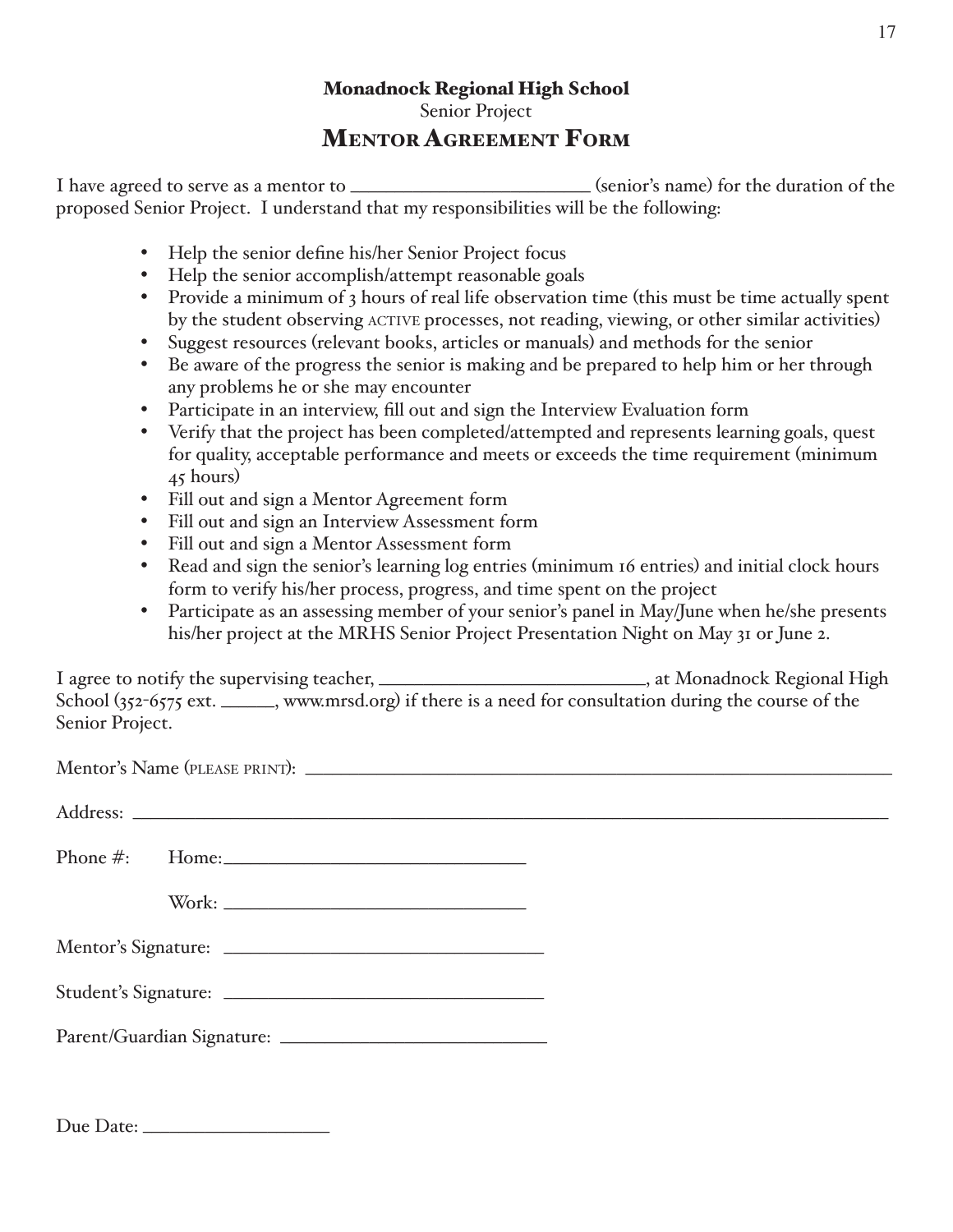# **Monadnock Regional High School** Senior Project

# **MENTOR AGREEMENT FORM**

I have agreed to serve as a mentor to \_\_\_\_\_\_\_\_\_\_\_\_\_\_\_\_\_\_\_\_\_\_\_\_\_\_\_\_\_\_\_\_(senior's name) for the duration of the proposed Senior Project. I understand that my responsibilities will be the following:

- Help the senior define his/her Senior Project focus
- Help the senior accomplish/attempt reasonable goals
- Provide a minimum of 3 hours of real life observation time (this must be time actually spent by the student observing ACTIVE processes, not reading, viewing, or other similar activities)
- Suggest resources (relevant books, articles or manuals) and methods for the senior
- Be aware of the progress the senior is making and be prepared to help him or her through any problems he or she may encounter
- Participate in an interview, fill out and sign the Interview Evaluation form
- Verify that the project has been completed/attempted and represents learning goals, quest for quality, acceptable performance and meets or exceeds the time requirement (minimum 45 hours)
- Fill out and sign a Mentor Agreement form
- Fill out and sign an Interview Assessment form
- Fill out and sign a Mentor Assessment form
- Read and sign the senior's learning log entries (minimum 16 entries) and initial clock hours form to verify his/her process, progress, and time spent on the project
- Participate as an assessing member of your senior's panel in May/June when he/she presents his/her project at the MRHS Senior Project Presentation Night on May 31 or June 2.

I agree to notify the supervising teacher, \_\_\_\_\_\_\_\_\_\_\_\_\_\_\_\_\_\_\_\_\_\_\_\_\_\_\_\_\_\_\_\_\_, at Monadnock Regional High School (352-6575 ext. \_\_\_\_\_\_, www.mrsd.org) if there is a need for consultation during the course of the Senior Project.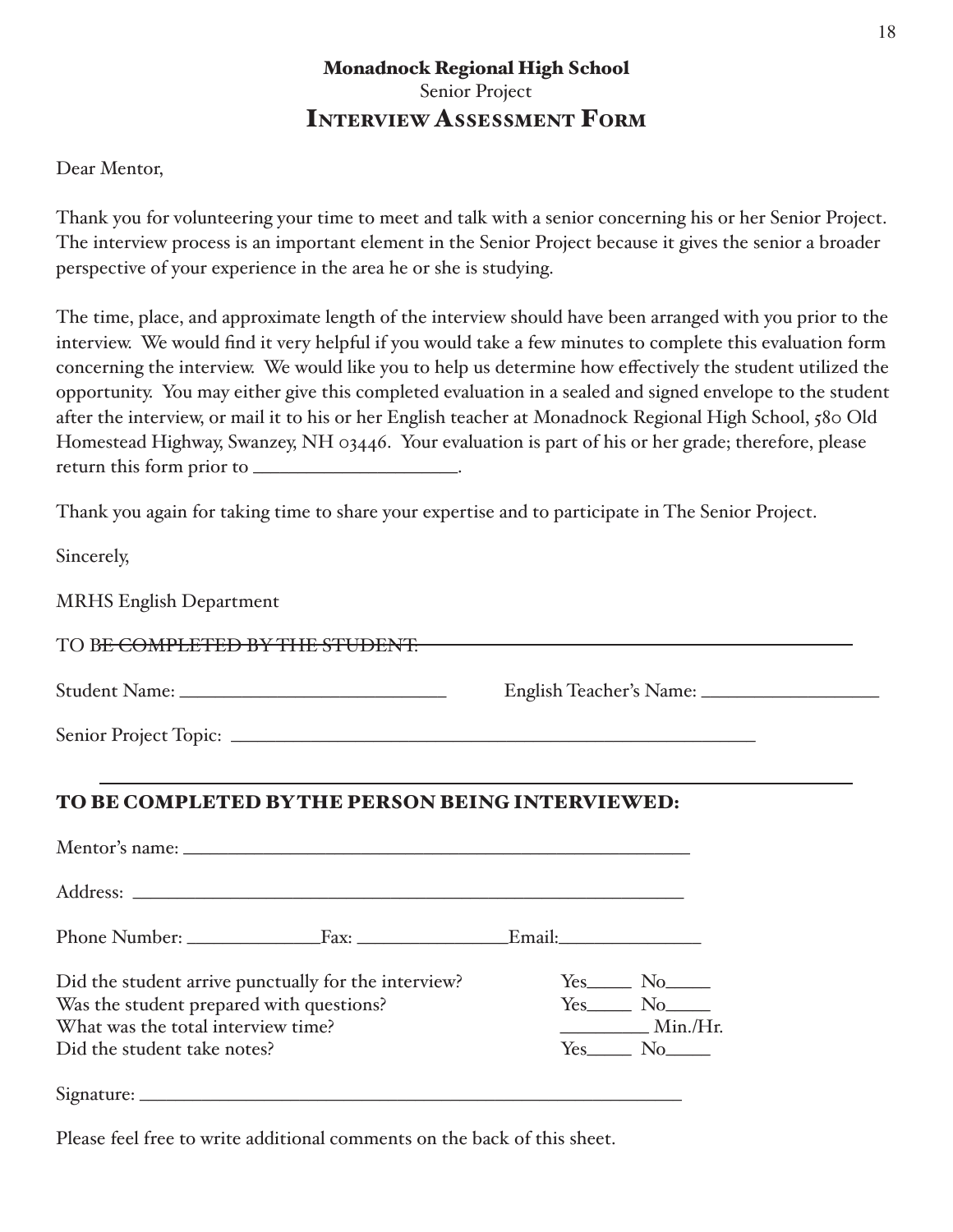# **Monadnock Regional High School** Senior Project **INTERVIEW ASSESSMENT FORM**

#### Dear Mentor,

Thank you for volunteering your time to meet and talk with a senior concerning his or her Senior Project. The interview process is an important element in the Senior Project because it gives the senior a broader perspective of your experience in the area he or she is studying.

The time, place, and approximate length of the interview should have been arranged with you prior to the interview. We would find it very helpful if you would take a few minutes to complete this evaluation form concerning the interview. We would like you to help us determine how effectively the student utilized the opportunity. You may either give this completed evaluation in a sealed and signed envelope to the student after the interview, or mail it to his or her English teacher at Monadnock Regional High School, 580 Old Homestead Highway, Swanzey, NH 03446. Your evaluation is part of his or her grade; therefore, please 

Thank you again for taking time to share your expertise and to participate in The Senior Project.

Sincerely,

**MRHS English Department** 

TO BE COMPLETED BY THE STUDENT

# TO BE COMPLETED BYTHE PERSON BEING INTERVIEWED:

|                                          | Did the student arrive punctually for the interview? | $Yes$ No $\_\_$  |
|------------------------------------------|------------------------------------------------------|------------------|
| Was the student prepared with questions? |                                                      | $Yes$ No         |
| What was the total interview time?       |                                                      | Min.Hr.          |
| Did the student take notes?              |                                                      | $Yes_$ No $\_\_$ |
|                                          |                                                      |                  |

Please feel free to write additional comments on the back of this sheet.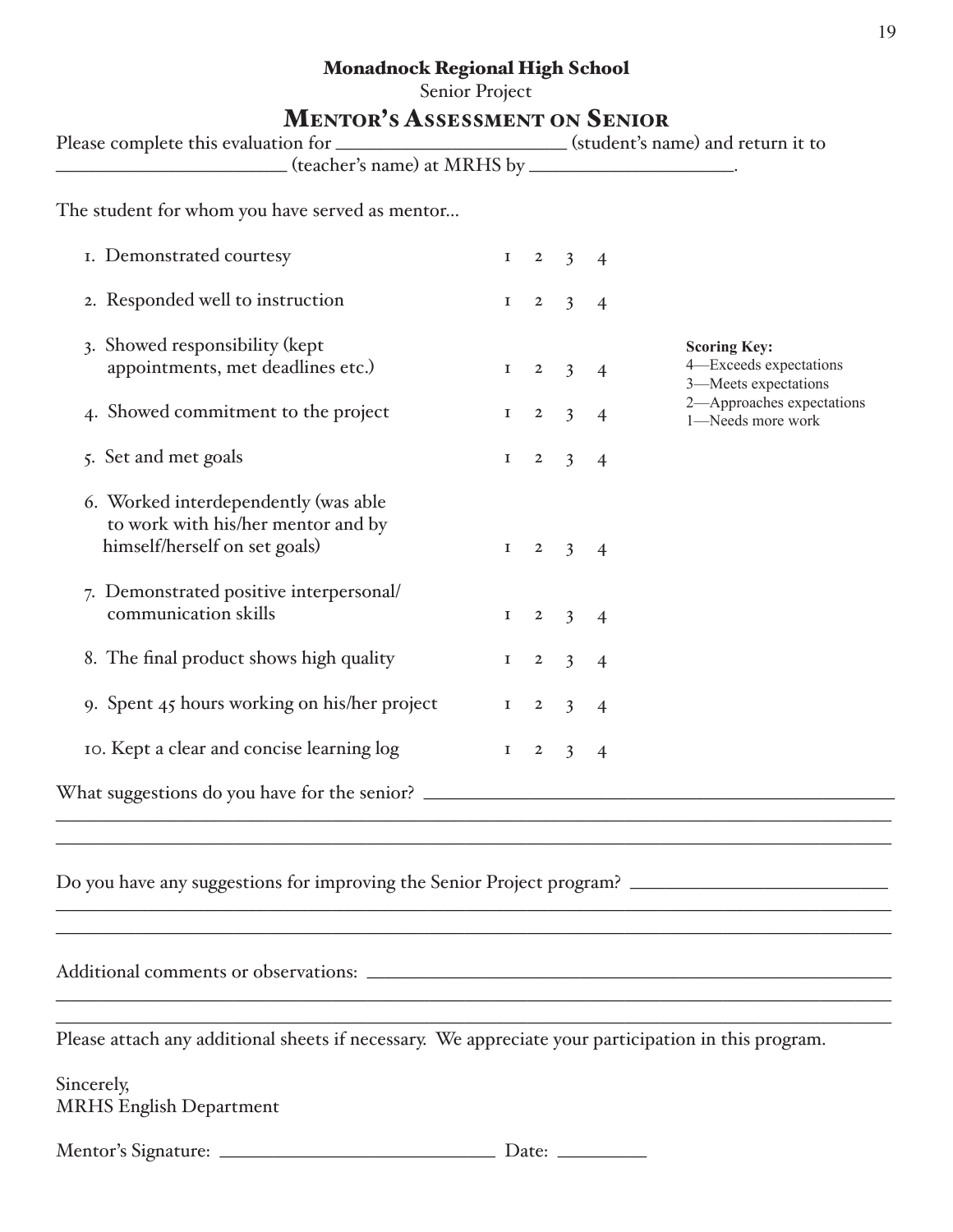# **Monadnock Regional High School**

Senior Project

# **MENTOR'S ASSESSMENT ON SENIOR**

| Please complete this evaluation for ________________________(student's name) and return it to               |             |                |                         |                          |                                                |
|-------------------------------------------------------------------------------------------------------------|-------------|----------------|-------------------------|--------------------------|------------------------------------------------|
| (teacher's name) at MRHS by ______________________.                                                         |             |                |                         |                          |                                                |
| The student for whom you have served as mentor                                                              |             |                |                         |                          |                                                |
| I. Demonstrated courtesy                                                                                    | $\mathbf I$ | $\overline{2}$ | $\overline{3}$          | $\overline{4}$           |                                                |
| 2. Responded well to instruction                                                                            | $\mathbf I$ | $\overline{2}$ | $\overline{3}$          | $\overline{4}$           |                                                |
| 3. Showed responsibility (kept                                                                              |             |                |                         |                          | <b>Scoring Key:</b>                            |
| appointments, met deadlines etc.)                                                                           | $\mathbf I$ | $\overline{2}$ | $\overline{3}$          | $\overline{4}$           | 4-Exceeds expectations<br>3-Meets expectations |
| 4. Showed commitment to the project                                                                         | $\mathbf I$ | $\overline{2}$ | $\overline{3}$          | $\overline{4}$           | 2-Approaches expectations<br>1-Needs more work |
| 5. Set and met goals                                                                                        | $\mathbf I$ |                | $2 \quad 3$             | $\overline{4}$           |                                                |
| 6. Worked interdependently (was able<br>to work with his/her mentor and by<br>himself/herself on set goals) | $\mathbf I$ | $\overline{2}$ | $\overline{\mathbf{3}}$ | $\overline{\mathcal{A}}$ |                                                |
| 7. Demonstrated positive interpersonal/<br>communication skills                                             | 1           | $\overline{2}$ | $\overline{3}$          | $\overline{4}$           |                                                |
|                                                                                                             |             |                |                         |                          |                                                |
| 8. The final product shows high quality                                                                     | $\mathbf I$ | $\overline{2}$ | $\overline{3}$          | $\overline{4}$           |                                                |
| 9. Spent 45 hours working on his/her project                                                                | $\mathbf I$ | $\mathbf{2}$   | $\overline{3}$          | $\overline{4}$           |                                                |
| 10. Kept a clear and concise learning log                                                                   | $\mathbf I$ | $\mathbf{2}$   | $\overline{3}$          | $\overline{4}$           |                                                |
| What suggestions do you have for the senior? ___________________________________                            |             |                |                         |                          |                                                |
|                                                                                                             |             |                |                         |                          |                                                |

Do you have any suggestions for improving the Senior Project program?

Please attach any additional sheets if necessary. We appreciate your participation in this program.

Sincerely, **MRHS English Department**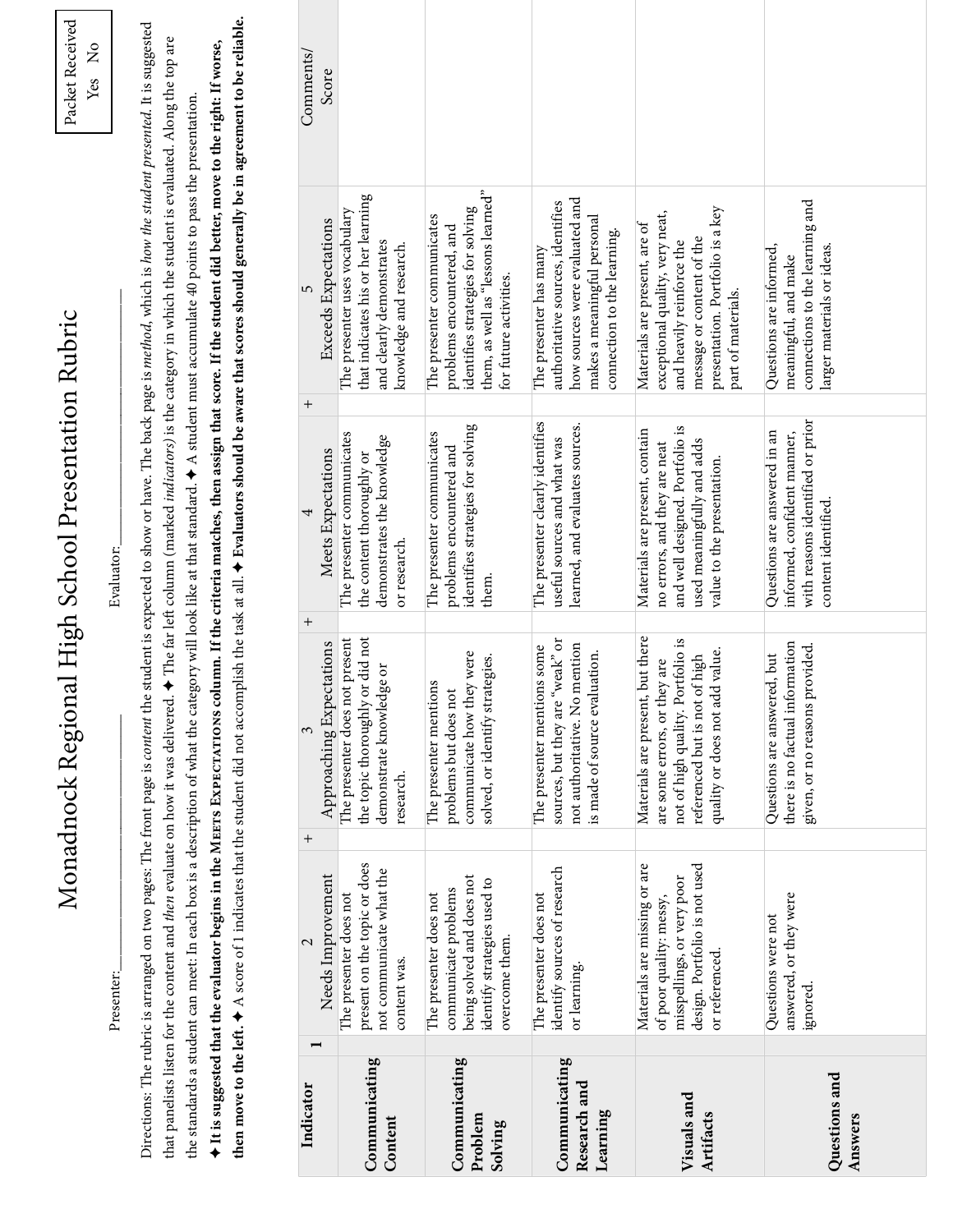|                                           | Presenter:                                                                                                                               |                                                                                                                                                                             | Monadnock Regional High School Presentation Rubric<br>Evaluator:                                                                                              |                                                                                                                                                                                                                                                                                                                                                                                                                                                                                                                                              | Packet Received<br>ž<br>Yes |
|-------------------------------------------|------------------------------------------------------------------------------------------------------------------------------------------|-----------------------------------------------------------------------------------------------------------------------------------------------------------------------------|---------------------------------------------------------------------------------------------------------------------------------------------------------------|----------------------------------------------------------------------------------------------------------------------------------------------------------------------------------------------------------------------------------------------------------------------------------------------------------------------------------------------------------------------------------------------------------------------------------------------------------------------------------------------------------------------------------------------|-----------------------------|
|                                           | that panelists listen for the content and then evaluate on how it was delivered                                                          |                                                                                                                                                                             |                                                                                                                                                               | Directions: The rubric is arranged on two pages: The front page is content the student is expected to show or have. The back page is method, which is how the student presented. It is suggested<br>$\cdot$ $\bullet$ The far left column (marked <i>indicators</i> ) is the category in which the student is evaluated. Along the top are<br>the standards a student can meet: In each box is a description of what the category will look like at that standard. $\spadesuit$ A student must accumulate 40 points to pass the presentation |                             |
|                                           |                                                                                                                                          |                                                                                                                                                                             |                                                                                                                                                               | then move to the left. $\blacklozenge$ A score of 1 indicates that the student did not accomplish the task at all. $\blacklozenge$ Evaluators should be aware that scores should generally be in agreement to be reliable.<br>$\blacklozenge$ It is suggested that the evaluator begins in the MEETS EXPECTATIONS column. If the criteria matches, then assign that score. If the student did better, move to the right: If worse,                                                                                                           |                             |
| Indicator                                 | Needs Improvement                                                                                                                        | Approaching Expectations<br>3<br>$^+$                                                                                                                                       | Meets Expectations<br>$^{+}$                                                                                                                                  | <b>Exceeds Expectations</b><br>5<br>$^+$                                                                                                                                                                                                                                                                                                                                                                                                                                                                                                     | Comments/<br>Score          |
| Communicating<br>Content                  | present on the topic or does<br>not communicate what the<br>The presenter does not<br>content was.                                       | the topic thoroughly or did not<br>The presenter does not present<br>demonstrate knowledge or<br>research.                                                                  | The presenter communicates<br>demonstrates the knowledge<br>the content thoroughly or<br>or research.                                                         | that indicates his or her learning<br>The presenter uses vocabulary<br>and clearly demonstrates<br>knowledge and research.                                                                                                                                                                                                                                                                                                                                                                                                                   |                             |
| Communicating<br>Problem<br>Solving       | being solved and does not<br>identify strategies used to<br>communicate problems<br>The presenter does not<br>overcome them.             | communicate how they were<br>solved, or identify strategies.<br>The presenter mentions<br>problems but does not                                                             | identifies strategies for solving<br>The presenter communicates<br>problems encountered and<br>them                                                           | them, as well as "lessons learned"<br>identifies strategies for solving<br>The presenter communicates<br>problems encountered, and<br>for future activities.                                                                                                                                                                                                                                                                                                                                                                                 |                             |
| Communicating<br>Research and<br>Learning | identify sources of research<br>The presenter does not<br>or learning.                                                                   | "weak" or<br>not authoritative. No mention<br>The presenter mentions some<br>is made of source evaluation.<br>sources, but they are                                         | The presenter clearly identifies<br>learned, and evaluates sources.<br>useful sources and what was                                                            | how sources were evaluated and<br>authoritative sources, identifies<br>makes a meaningful personal<br>connection to the learning.<br>The presenter has many                                                                                                                                                                                                                                                                                                                                                                                  |                             |
| Visuals and<br>Artifacts                  | Materials are missing or are<br>design. Portfolio is not used<br>misspellings, or very poor<br>of poor quality: messy,<br>or referenced. | Materials are present, but there<br>not of high quality. Portfolio is<br>quality or does not add value.<br>of high<br>are some errors, or they are<br>referenced but is not | and well designed. Portfolio is<br>Materials are present, contain<br>used meaningfully and adds<br>no errors, and they are neat<br>value to the presentation. | presentation. Portfolio is a key<br>exceptional quality, very neat,<br>Materials are present, are of<br>message or content of the<br>and heavily reinforce the<br>part of materials.                                                                                                                                                                                                                                                                                                                                                         |                             |
| Questions and<br>Answers                  | answered, or they were<br>Questions were not<br>ignored                                                                                  | there is no factual information<br>provided.<br>Questions are answered, but<br>given, or no reasons                                                                         | with reasons identified or prior<br>Questions are answered in an<br>informed, confident manner,<br>content identified.                                        | connections to the learning and<br>Questions are informed,<br>larger materials or ideas.<br>meaningful, and make                                                                                                                                                                                                                                                                                                                                                                                                                             |                             |

Monadnock Regional High School Presentation Rubric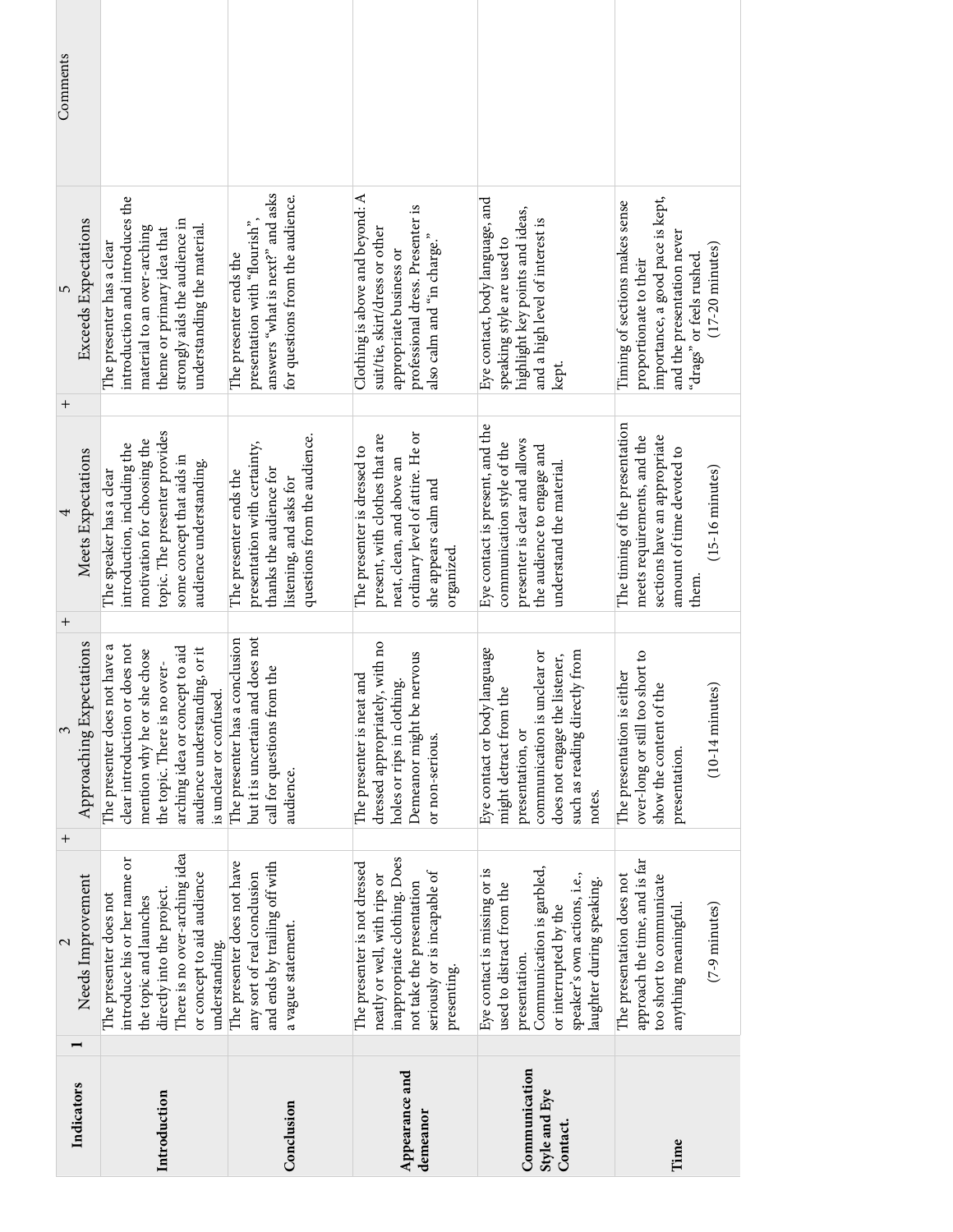| Comments                            |                                                                                                                                                                                                                              |                                                                                                                                              |                                                                                                                                                                          |                                                                                                                                                                                               |                                                                                                                                                                                     |
|-------------------------------------|------------------------------------------------------------------------------------------------------------------------------------------------------------------------------------------------------------------------------|----------------------------------------------------------------------------------------------------------------------------------------------|--------------------------------------------------------------------------------------------------------------------------------------------------------------------------|-----------------------------------------------------------------------------------------------------------------------------------------------------------------------------------------------|-------------------------------------------------------------------------------------------------------------------------------------------------------------------------------------|
| Exceeds Expectations<br>5<br>$^{+}$ | introduction and introduces the<br>strongly aids the audience in<br>understanding the material.<br>material to an over-arching<br>theme or primary idea that<br>The presenter has a clear                                    | answers "what is next?" and asks<br>for questions from the audience.<br>presentation with "flourish",<br>The presenter ends the              | Clothing is above and beyond: $A$<br>professional dress. Presenter is<br>suit/tie, skirt/dress or other<br>also calm and "in charge."<br>appropriate business or         | Eye contact, body language, and<br>highlight key points and ideas,<br>and a high level of interest is<br>speaking style are used to<br>kept.                                                  | importance, a good pace is kept,<br>Timing of sections makes sense<br>and the presentation never<br>$(17-20 \text{ minutes})$<br>"drags" or feels rushed.<br>proportionate to their |
| Meets Expectations<br>$\, +$        | topic. The presenter provides<br>motivation for choosing the<br>introduction, including the<br>some concept that aids in<br>audience understanding.<br>The speaker has a clear                                               | questions from the audience.<br>presentation with certainty,<br>thanks the audience for<br>The presenter ends the<br>listening, and asks for | ordinary level of attire. He or<br>present, with clothes that are<br>The presenter is dressed to<br>neat, clean, and above an<br>she appears calm and<br>organized.      | Eye contact is present, and the<br>presenter is clear and allows<br>communication style of the<br>the audience to engage and<br>understand the material.                                      | The timing of the presentation<br>sections have an appropriate<br>meets requirements, and the<br>amount of time devoted to<br>$(15-16 \text{ minutes})$<br>them                     |
| Approaching Expectations<br>3       | clear introduction or does not<br>The presenter does not have a<br>arching idea or concept to aid<br>audience understanding, or it<br>mention why he or she chose<br>the topic. There is no over-<br>is unclear or confused. | but it is uncertain and does not<br>The presenter has a conclusion<br>call for questions from the<br>audience.                               | dressed appropriately, with no<br>nervous<br><sub>t</sub> and<br>holes or rips in clothing.<br>The presenter is neat<br>Demeanor might be<br>or non-serious.             | language<br>communication is unclear or<br>such as reading directly from<br>does not engage the listener,<br>might detract from the<br>Eye contact or body<br>presentation, or<br>notes.      | over-long or still too short to<br>The presentation is either<br>show the content of the<br>$(10-14 \text{ minutes})$<br>presentation.                                              |
| $\overline{+}$<br>Needs Improvement | There is no over-arching idea<br>introduce his or her name or<br>or concept to aid audience<br>directly into the project.<br>The presenter does not<br>the topic and launches<br>understanding.                              | The presenter does not have<br>and ends by trailing off with<br>any sort of real conclusion<br>a vague statement.                            | inappropriate clothing. Does<br>The presenter is not dressed<br>seriously or is incapable of<br>neatly or well, with rips or<br>not take the presentation<br>presenting. | Communication is garbled,<br>Eye contact is missing or is<br>speaker's own actions, i.e.,<br>laughter during speaking.<br>used to distract from the<br>or interrupted by the<br>presentation. | approach the time, and is far<br>The presentation does not<br>too short to communicate<br>$(7-9$ minutes)<br>anything meaningful                                                    |
| Indicators                          | Introduction                                                                                                                                                                                                                 | Conclusion                                                                                                                                   | Appearance and<br>demeanor                                                                                                                                               | Communication<br>Style and Eye<br>Contact.                                                                                                                                                    | Time                                                                                                                                                                                |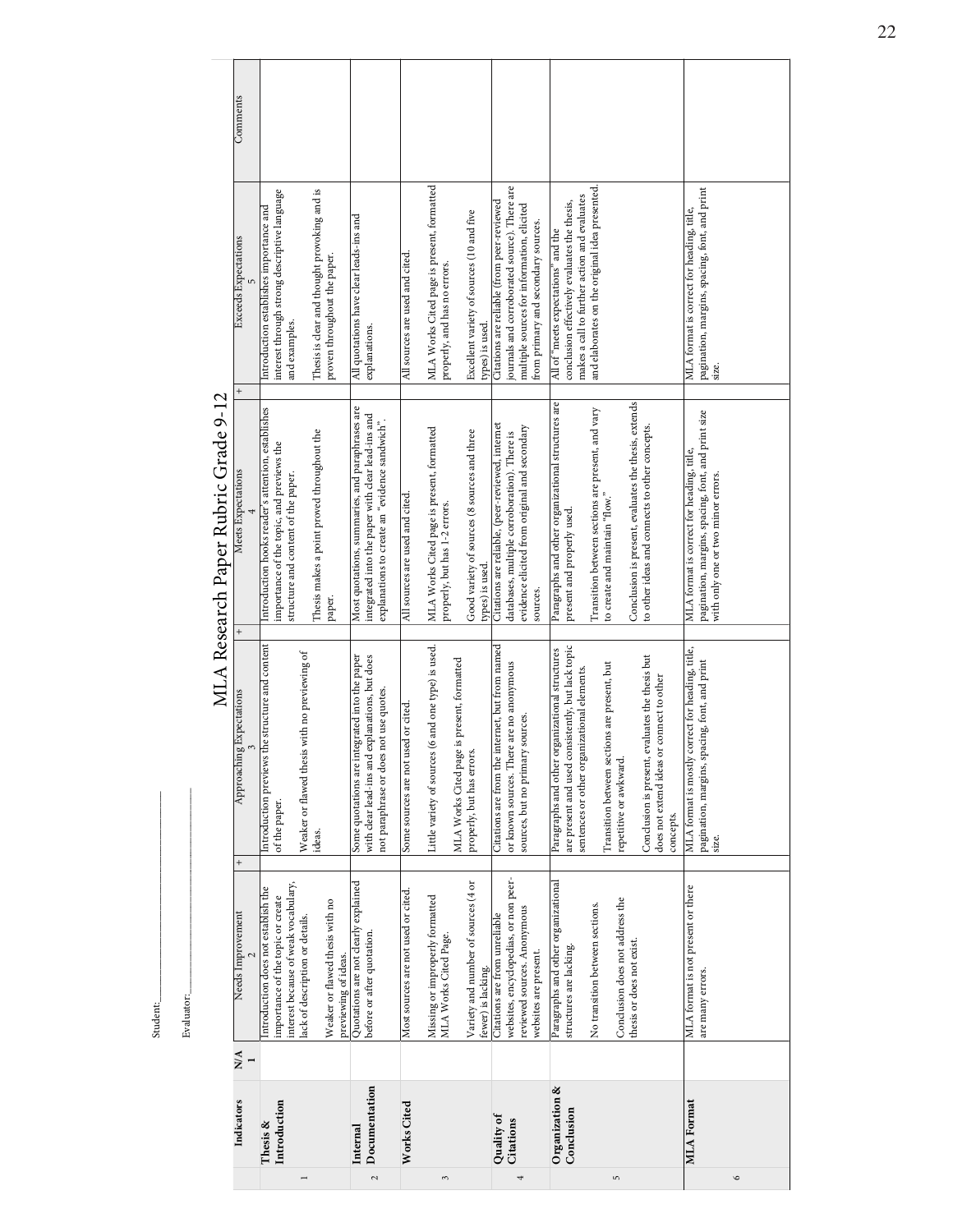Student:  $\begin{minipage}{.4\linewidth} \textbf{Fvaluator}\textbf{.}\end{minipage}$ Student:\_

Evaluator:

MLA Research Paper Rubric Grade 9-12 MLA Research Paper Rubric Grade 9-12

| the structure and content<br>Approaching Expectations<br>$\tilde{3}$<br>Introduction previews<br>of the paper.<br>$^{+}$<br>Introduction does not establish the<br>importance of the topic or create<br>Needs Improvement<br>N/A                                                                                                                                                                                                                                                                               |  |                           | $^{+}$<br>Introduction hooks reader's attention, establishes<br>importance of the topic, and previews the<br>Meets Expectations<br>$^{+}$                                                                                                                                              | interest through strong descriptive language<br>Introduction establishes importance and<br>Exceeds Expectations                                                                       | Comments |
|----------------------------------------------------------------------------------------------------------------------------------------------------------------------------------------------------------------------------------------------------------------------------------------------------------------------------------------------------------------------------------------------------------------------------------------------------------------------------------------------------------------|--|---------------------------|----------------------------------------------------------------------------------------------------------------------------------------------------------------------------------------------------------------------------------------------------------------------------------------|---------------------------------------------------------------------------------------------------------------------------------------------------------------------------------------|----------|
| Weaker or flawed thesis with no previewing of<br>with clear lead-ins and explanations, but does<br>Some quotations are integrated into the paper<br>not paraphrase or does not use quotes.<br>ideas.<br>Quotations are not clearly explained<br>interest because of weak vocabulary,<br>Weaker or flawed thesis with no<br>lack of description or details.<br>before or after quotation.<br>previewing of ideas.                                                                                               |  |                           | Most quotations, summaries, and paraphrases are<br>integrated into the paper with clear lead-ins and<br>explanations to create an "evidence sandwich".<br>Thesis makes a point proved throughout the<br>structure and content of the paper.<br>paper.                                  | Thesis is clear and thought provoking and is<br>All quotations have clear leads-ins and<br>proven throughout the paper.<br>and examples.<br>explanations.                             |          |
| MLA Works Cited page is present, formatted<br>Some sources are not used or cited.<br>Little variety of sources<br>properly, but has errors<br>Variety and number of sources (4 or<br>Most sources are not used or cited.<br>Missing or improperly formatted<br>MLA Works Cited Page.<br>fewer) is lacking.                                                                                                                                                                                                     |  | (6 and one type) is used. | MLA Works Cited page is present, formatted<br>Good variety of sources (8 sources and three<br>All sources are used and cited.<br>properly, but has 1-2 errors.<br>types) is used.                                                                                                      | MLA Works Cited page is present, formatted<br>Excellent variety of sources (10 and five<br>All sources are used and cited.<br>properly, and has no errors.<br>types) is used.         |          |
| Citations are from the internet, but from named<br>or known sources. There are no anonymous<br>sources.<br>sources, but no primary<br>websites, encyclopedias, or non peer-<br>reviewed sources. Anonymous<br>Citations are from unreliable<br>websites are present.                                                                                                                                                                                                                                           |  |                           | Citations are reliable, (peer-reviewed, internet<br>evidence elicited from original and secondary<br>databases, multiple corroboration). There is<br>sources.                                                                                                                          | journals and corroborated source). There are<br>Citations are reliable (from peer-reviewed<br>multiple sources for information, elicited<br>from primary and secondary sources.       |          |
| are present and used consistently, but lack topic<br>Paragraphs and other organizational structures<br>Conclusion is present, evaluates the thesis but<br>Transition between sections are present, but<br>sentences or other organizational elements.<br>does not extend ideas or connect to other<br>repetitive or awkward.<br>concepts.<br>Paragraphs and other organizational<br>Conclusion does not address the<br>No transition between sections.<br>thesis or does not exist.<br>structures are lacking. |  |                           | Paragraphs and other organizational structures are<br>Conclusion is present, evaluates the thesis, extends<br>Transition between sections are present, and vary<br>to other ideas and connects to other concepts.<br>to create and maintain "flow." $\,$<br>present and properly used. | and elaborates on the original idea presented.<br>makes a call to further action and evaluates<br>conclusion effectively evaluates the thesis,<br>All of "meets expectations" and the |          |
| MLA format is mostly correct for heading, title,<br>pagination, margins, spacing, font, and print<br>size.<br>MLA format is not present or there<br>are many errors.                                                                                                                                                                                                                                                                                                                                           |  |                           | pagination, margins, spacing, font, and print size<br>MLA format is correct for heading, title,<br>with only one or two minor errors.                                                                                                                                                  | pagination, margins, spacing, font, and print<br>size.<br>MLA format is correct for heading, title,                                                                                   |          |